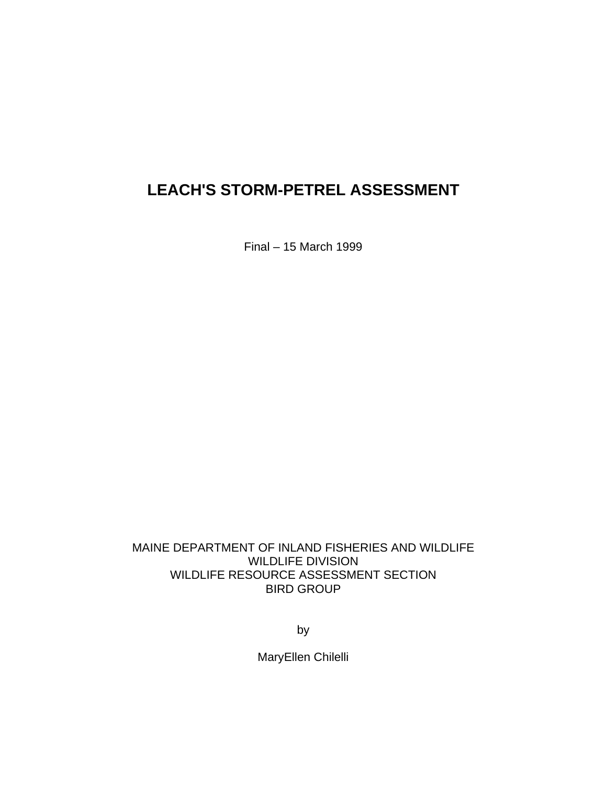Final – 15 March 1999

MAINE DEPARTMENT OF INLAND FISHERIES AND WILDLIFE WILDLIFE DIVISION WILDLIFE RESOURCE ASSESSMENT SECTION BIRD GROUP

by

MaryEllen Chilelli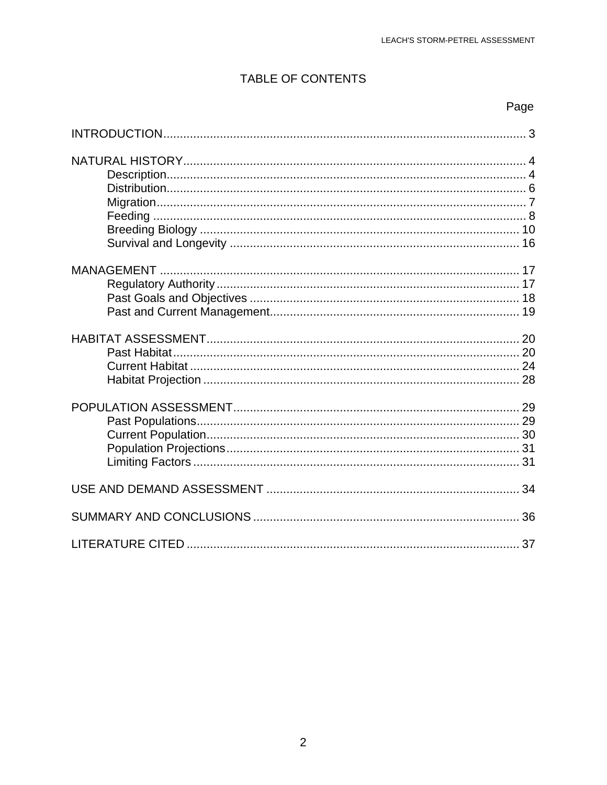## TABLE OF CONTENTS

## Page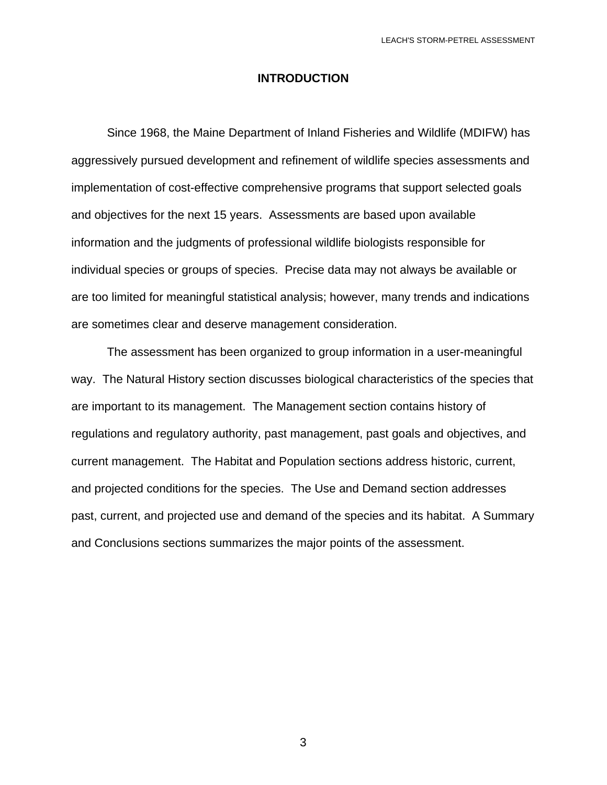#### **INTRODUCTION**

 Since 1968, the Maine Department of Inland Fisheries and Wildlife (MDIFW) has aggressively pursued development and refinement of wildlife species assessments and implementation of cost-effective comprehensive programs that support selected goals and objectives for the next 15 years. Assessments are based upon available information and the judgments of professional wildlife biologists responsible for individual species or groups of species. Precise data may not always be available or are too limited for meaningful statistical analysis; however, many trends and indications are sometimes clear and deserve management consideration.

 The assessment has been organized to group information in a user-meaningful way. The Natural History section discusses biological characteristics of the species that are important to its management. The Management section contains history of regulations and regulatory authority, past management, past goals and objectives, and current management. The Habitat and Population sections address historic, current, and projected conditions for the species. The Use and Demand section addresses past, current, and projected use and demand of the species and its habitat. A Summary and Conclusions sections summarizes the major points of the assessment.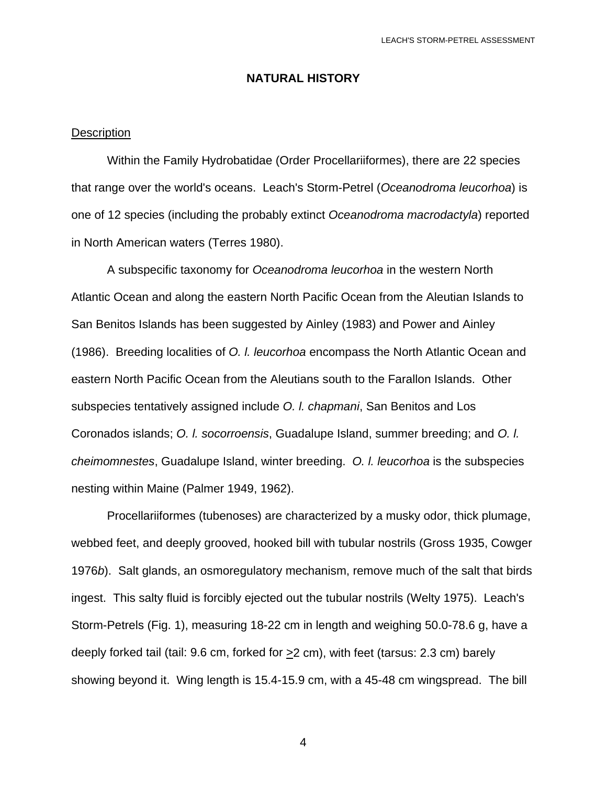### **NATURAL HISTORY**

#### **Description**

 Within the Family Hydrobatidae (Order Procellariiformes), there are 22 species that range over the world's oceans. Leach's Storm-Petrel (*Oceanodroma leucorhoa*) is one of 12 species (including the probably extinct *Oceanodroma macrodactyla*) reported in North American waters (Terres 1980).

 A subspecific taxonomy for *Oceanodroma leucorhoa* in the western North Atlantic Ocean and along the eastern North Pacific Ocean from the Aleutian Islands to San Benitos Islands has been suggested by Ainley (1983) and Power and Ainley (1986). Breeding localities of *O. l. leucorhoa* encompass the North Atlantic Ocean and eastern North Pacific Ocean from the Aleutians south to the Farallon Islands. Other subspecies tentatively assigned include *O. l. chapmani*, San Benitos and Los Coronados islands; *O. l. socorroensis*, Guadalupe Island, summer breeding; and *O. l. cheimomnestes*, Guadalupe Island, winter breeding. *O. l. leucorhoa* is the subspecies nesting within Maine (Palmer 1949, 1962).

 Procellariiformes (tubenoses) are characterized by a musky odor, thick plumage, webbed feet, and deeply grooved, hooked bill with tubular nostrils (Gross 1935, Cowger 1976*b*). Salt glands, an osmoregulatory mechanism, remove much of the salt that birds ingest. This salty fluid is forcibly ejected out the tubular nostrils (Welty 1975). Leach's Storm-Petrels (Fig. 1), measuring 18-22 cm in length and weighing 50.0-78.6 g, have a deeply forked tail (tail: 9.6 cm, forked for >2 cm), with feet (tarsus: 2.3 cm) barely showing beyond it. Wing length is 15.4-15.9 cm, with a 45-48 cm wingspread. The bill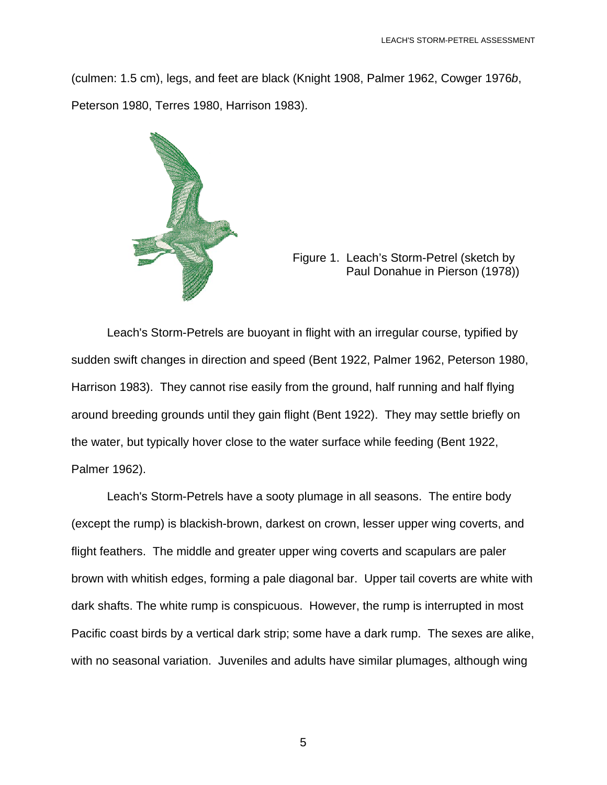(culmen: 1.5 cm), legs, and feet are black (Knight 1908, Palmer 1962, Cowger 1976*b*, Peterson 1980, Terres 1980, Harrison 1983).



Figure 1. Leach's Storm-Petrel (sketch by Paul Donahue in Pierson (1978))

 Leach's Storm-Petrels are buoyant in flight with an irregular course, typified by sudden swift changes in direction and speed (Bent 1922, Palmer 1962, Peterson 1980, Harrison 1983). They cannot rise easily from the ground, half running and half flying around breeding grounds until they gain flight (Bent 1922). They may settle briefly on the water, but typically hover close to the water surface while feeding (Bent 1922, Palmer 1962).

 Leach's Storm-Petrels have a sooty plumage in all seasons. The entire body (except the rump) is blackish-brown, darkest on crown, lesser upper wing coverts, and flight feathers. The middle and greater upper wing coverts and scapulars are paler brown with whitish edges, forming a pale diagonal bar. Upper tail coverts are white with dark shafts. The white rump is conspicuous. However, the rump is interrupted in most Pacific coast birds by a vertical dark strip; some have a dark rump. The sexes are alike, with no seasonal variation. Juveniles and adults have similar plumages, although wing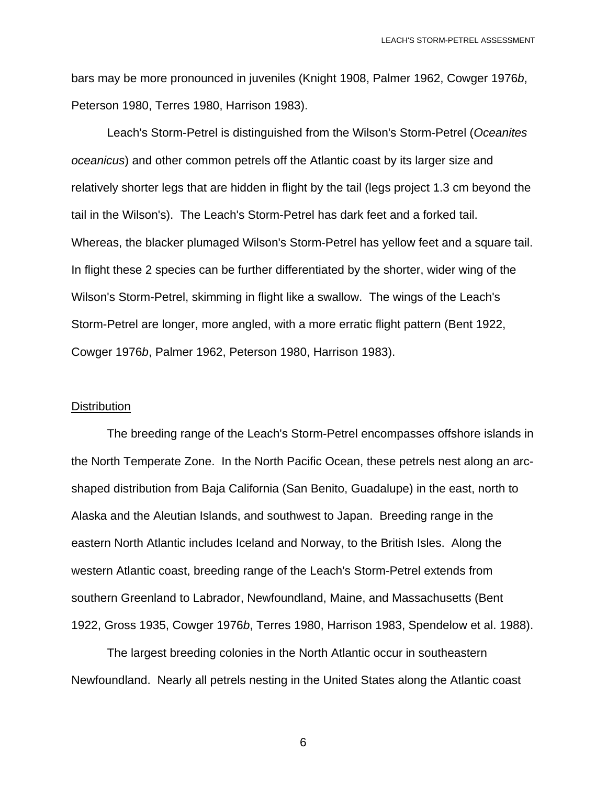bars may be more pronounced in juveniles (Knight 1908, Palmer 1962, Cowger 1976*b*, Peterson 1980, Terres 1980, Harrison 1983).

 Leach's Storm-Petrel is distinguished from the Wilson's Storm-Petrel (*Oceanites oceanicus*) and other common petrels off the Atlantic coast by its larger size and relatively shorter legs that are hidden in flight by the tail (legs project 1.3 cm beyond the tail in the Wilson's). The Leach's Storm-Petrel has dark feet and a forked tail. Whereas, the blacker plumaged Wilson's Storm-Petrel has yellow feet and a square tail. In flight these 2 species can be further differentiated by the shorter, wider wing of the Wilson's Storm-Petrel, skimming in flight like a swallow. The wings of the Leach's Storm-Petrel are longer, more angled, with a more erratic flight pattern (Bent 1922, Cowger 1976*b*, Palmer 1962, Peterson 1980, Harrison 1983).

#### **Distribution**

 The breeding range of the Leach's Storm-Petrel encompasses offshore islands in the North Temperate Zone. In the North Pacific Ocean, these petrels nest along an arcshaped distribution from Baja California (San Benito, Guadalupe) in the east, north to Alaska and the Aleutian Islands, and southwest to Japan. Breeding range in the eastern North Atlantic includes Iceland and Norway, to the British Isles. Along the western Atlantic coast, breeding range of the Leach's Storm-Petrel extends from southern Greenland to Labrador, Newfoundland, Maine, and Massachusetts (Bent 1922, Gross 1935, Cowger 1976*b*, Terres 1980, Harrison 1983, Spendelow et al. 1988).

 The largest breeding colonies in the North Atlantic occur in southeastern Newfoundland. Nearly all petrels nesting in the United States along the Atlantic coast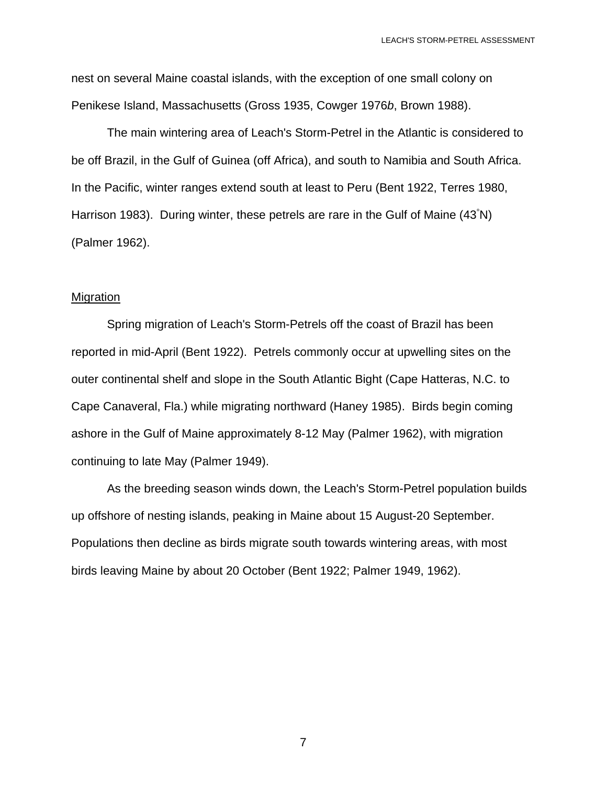nest on several Maine coastal islands, with the exception of one small colony on Penikese Island, Massachusetts (Gross 1935, Cowger 1976*b*, Brown 1988).

 The main wintering area of Leach's Storm-Petrel in the Atlantic is considered to be off Brazil, in the Gulf of Guinea (off Africa), and south to Namibia and South Africa. In the Pacific, winter ranges extend south at least to Peru (Bent 1922, Terres 1980, Harrison 1983). During winter, these petrels are rare in the Gulf of Maine (43<sup>°</sup>N) (Palmer 1962).

#### **Migration**

 Spring migration of Leach's Storm-Petrels off the coast of Brazil has been reported in mid-April (Bent 1922). Petrels commonly occur at upwelling sites on the outer continental shelf and slope in the South Atlantic Bight (Cape Hatteras, N.C. to Cape Canaveral, Fla.) while migrating northward (Haney 1985). Birds begin coming ashore in the Gulf of Maine approximately 8-12 May (Palmer 1962), with migration continuing to late May (Palmer 1949).

 As the breeding season winds down, the Leach's Storm-Petrel population builds up offshore of nesting islands, peaking in Maine about 15 August-20 September. Populations then decline as birds migrate south towards wintering areas, with most birds leaving Maine by about 20 October (Bent 1922; Palmer 1949, 1962).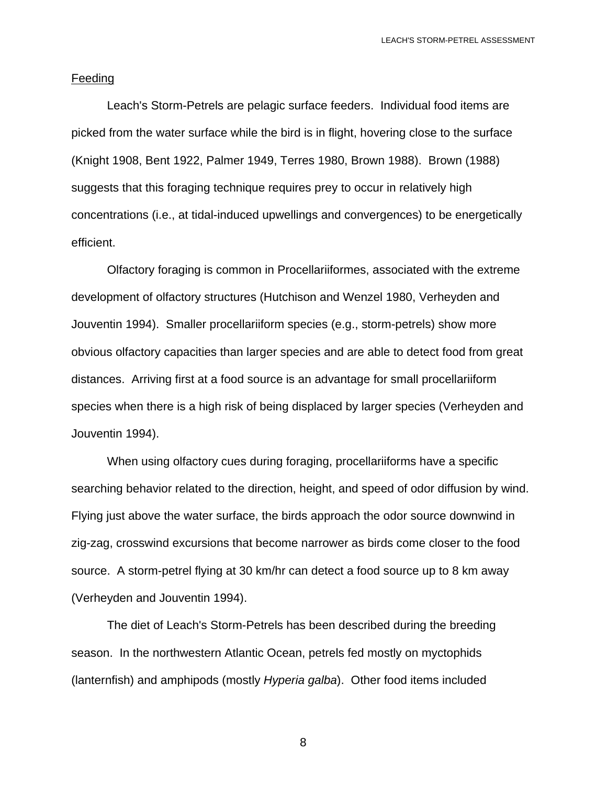#### Feeding

 Leach's Storm-Petrels are pelagic surface feeders. Individual food items are picked from the water surface while the bird is in flight, hovering close to the surface (Knight 1908, Bent 1922, Palmer 1949, Terres 1980, Brown 1988). Brown (1988) suggests that this foraging technique requires prey to occur in relatively high concentrations (i.e., at tidal-induced upwellings and convergences) to be energetically efficient.

 Olfactory foraging is common in Procellariiformes, associated with the extreme development of olfactory structures (Hutchison and Wenzel 1980, Verheyden and Jouventin 1994). Smaller procellariiform species (e.g., storm-petrels) show more obvious olfactory capacities than larger species and are able to detect food from great distances. Arriving first at a food source is an advantage for small procellariiform species when there is a high risk of being displaced by larger species (Verheyden and Jouventin 1994).

 When using olfactory cues during foraging, procellariiforms have a specific searching behavior related to the direction, height, and speed of odor diffusion by wind. Flying just above the water surface, the birds approach the odor source downwind in zig-zag, crosswind excursions that become narrower as birds come closer to the food source. A storm-petrel flying at 30 km/hr can detect a food source up to 8 km away (Verheyden and Jouventin 1994).

 The diet of Leach's Storm-Petrels has been described during the breeding season. In the northwestern Atlantic Ocean, petrels fed mostly on myctophids (lanternfish) and amphipods (mostly *Hyperia galba*). Other food items included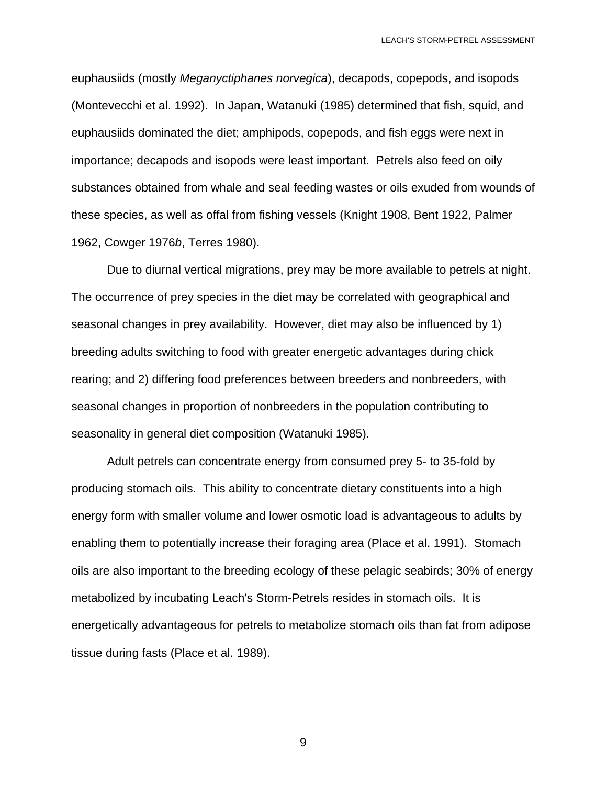euphausiids (mostly *Meganyctiphanes norvegica*), decapods, copepods, and isopods (Montevecchi et al. 1992). In Japan, Watanuki (1985) determined that fish, squid, and euphausiids dominated the diet; amphipods, copepods, and fish eggs were next in importance; decapods and isopods were least important. Petrels also feed on oily substances obtained from whale and seal feeding wastes or oils exuded from wounds of these species, as well as offal from fishing vessels (Knight 1908, Bent 1922, Palmer 1962, Cowger 1976*b*, Terres 1980).

 Due to diurnal vertical migrations, prey may be more available to petrels at night. The occurrence of prey species in the diet may be correlated with geographical and seasonal changes in prey availability. However, diet may also be influenced by 1) breeding adults switching to food with greater energetic advantages during chick rearing; and 2) differing food preferences between breeders and nonbreeders, with seasonal changes in proportion of nonbreeders in the population contributing to seasonality in general diet composition (Watanuki 1985).

 Adult petrels can concentrate energy from consumed prey 5- to 35-fold by producing stomach oils. This ability to concentrate dietary constituents into a high energy form with smaller volume and lower osmotic load is advantageous to adults by enabling them to potentially increase their foraging area (Place et al. 1991). Stomach oils are also important to the breeding ecology of these pelagic seabirds; 30% of energy metabolized by incubating Leach's Storm-Petrels resides in stomach oils. It is energetically advantageous for petrels to metabolize stomach oils than fat from adipose tissue during fasts (Place et al. 1989).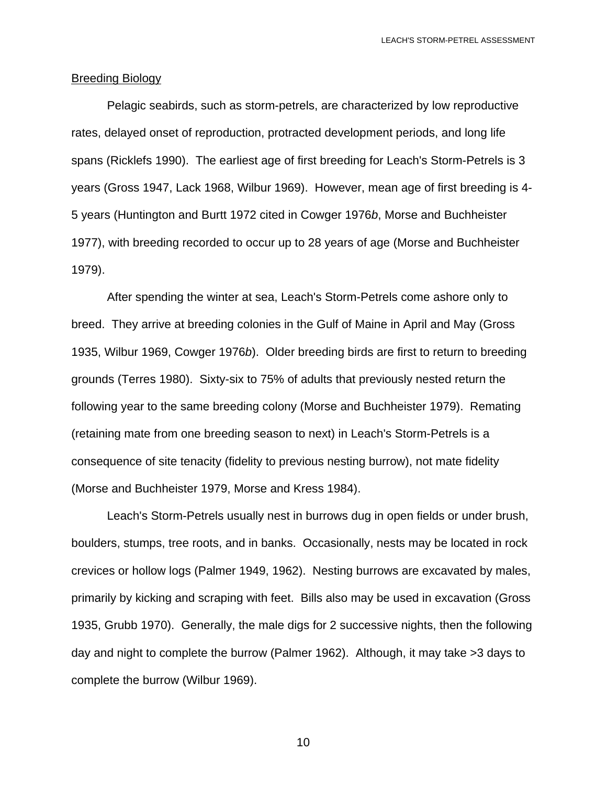#### Breeding Biology

 Pelagic seabirds, such as storm-petrels, are characterized by low reproductive rates, delayed onset of reproduction, protracted development periods, and long life spans (Ricklefs 1990). The earliest age of first breeding for Leach's Storm-Petrels is 3 years (Gross 1947, Lack 1968, Wilbur 1969). However, mean age of first breeding is 4- 5 years (Huntington and Burtt 1972 cited in Cowger 1976*b*, Morse and Buchheister 1977), with breeding recorded to occur up to 28 years of age (Morse and Buchheister 1979).

 After spending the winter at sea, Leach's Storm-Petrels come ashore only to breed. They arrive at breeding colonies in the Gulf of Maine in April and May (Gross 1935, Wilbur 1969, Cowger 1976*b*). Older breeding birds are first to return to breeding grounds (Terres 1980). Sixty-six to 75% of adults that previously nested return the following year to the same breeding colony (Morse and Buchheister 1979). Remating (retaining mate from one breeding season to next) in Leach's Storm-Petrels is a consequence of site tenacity (fidelity to previous nesting burrow), not mate fidelity (Morse and Buchheister 1979, Morse and Kress 1984).

 Leach's Storm-Petrels usually nest in burrows dug in open fields or under brush, boulders, stumps, tree roots, and in banks. Occasionally, nests may be located in rock crevices or hollow logs (Palmer 1949, 1962). Nesting burrows are excavated by males, primarily by kicking and scraping with feet. Bills also may be used in excavation (Gross 1935, Grubb 1970). Generally, the male digs for 2 successive nights, then the following day and night to complete the burrow (Palmer 1962). Although, it may take >3 days to complete the burrow (Wilbur 1969).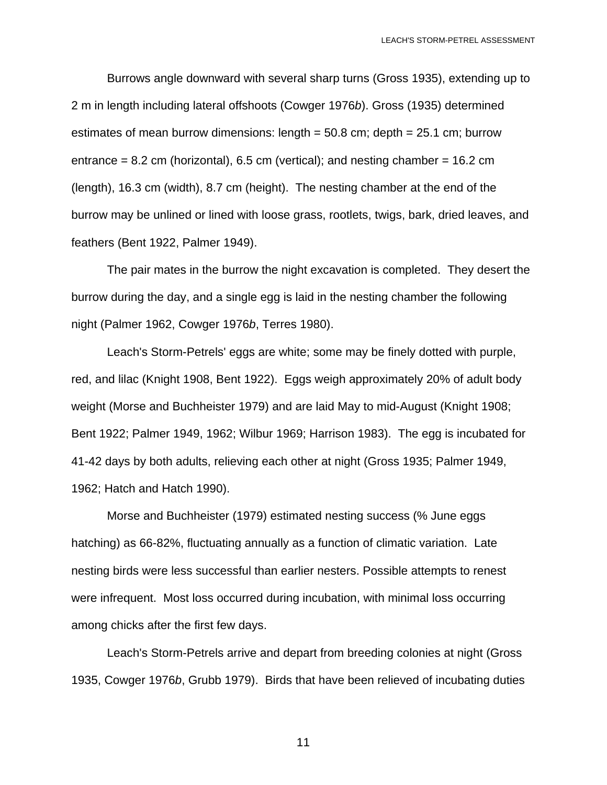Burrows angle downward with several sharp turns (Gross 1935), extending up to 2 m in length including lateral offshoots (Cowger 1976*b*). Gross (1935) determined estimates of mean burrow dimensions: length = 50.8 cm; depth = 25.1 cm; burrow entrance =  $8.2$  cm (horizontal),  $6.5$  cm (vertical); and nesting chamber =  $16.2$  cm (length), 16.3 cm (width), 8.7 cm (height). The nesting chamber at the end of the burrow may be unlined or lined with loose grass, rootlets, twigs, bark, dried leaves, and feathers (Bent 1922, Palmer 1949).

 The pair mates in the burrow the night excavation is completed. They desert the burrow during the day, and a single egg is laid in the nesting chamber the following night (Palmer 1962, Cowger 1976*b*, Terres 1980).

 Leach's Storm-Petrels' eggs are white; some may be finely dotted with purple, red, and lilac (Knight 1908, Bent 1922). Eggs weigh approximately 20% of adult body weight (Morse and Buchheister 1979) and are laid May to mid-August (Knight 1908; Bent 1922; Palmer 1949, 1962; Wilbur 1969; Harrison 1983). The egg is incubated for 41-42 days by both adults, relieving each other at night (Gross 1935; Palmer 1949, 1962; Hatch and Hatch 1990).

 Morse and Buchheister (1979) estimated nesting success (% June eggs hatching) as 66-82%, fluctuating annually as a function of climatic variation. Late nesting birds were less successful than earlier nesters. Possible attempts to renest were infrequent. Most loss occurred during incubation, with minimal loss occurring among chicks after the first few days.

 Leach's Storm-Petrels arrive and depart from breeding colonies at night (Gross 1935, Cowger 1976*b*, Grubb 1979). Birds that have been relieved of incubating duties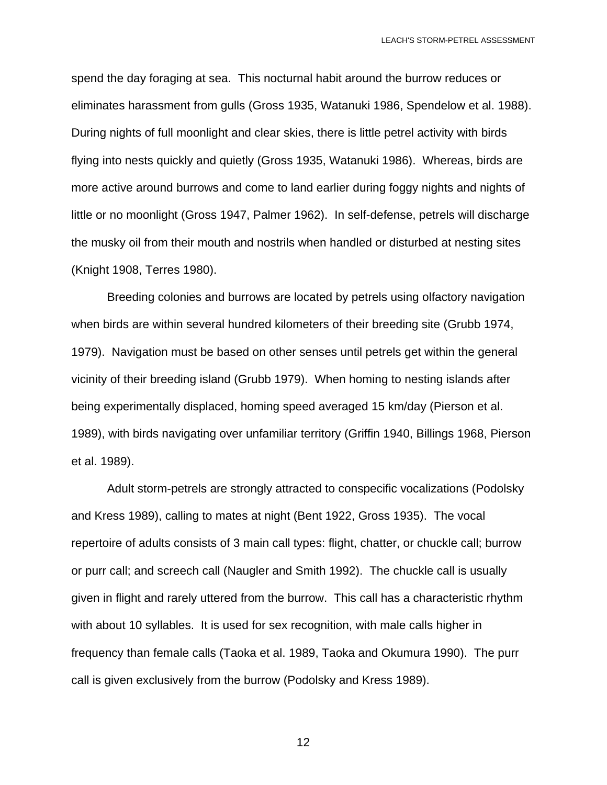spend the day foraging at sea. This nocturnal habit around the burrow reduces or eliminates harassment from gulls (Gross 1935, Watanuki 1986, Spendelow et al. 1988). During nights of full moonlight and clear skies, there is little petrel activity with birds flying into nests quickly and quietly (Gross 1935, Watanuki 1986). Whereas, birds are more active around burrows and come to land earlier during foggy nights and nights of little or no moonlight (Gross 1947, Palmer 1962). In self-defense, petrels will discharge the musky oil from their mouth and nostrils when handled or disturbed at nesting sites (Knight 1908, Terres 1980).

 Breeding colonies and burrows are located by petrels using olfactory navigation when birds are within several hundred kilometers of their breeding site (Grubb 1974, 1979). Navigation must be based on other senses until petrels get within the general vicinity of their breeding island (Grubb 1979). When homing to nesting islands after being experimentally displaced, homing speed averaged 15 km/day (Pierson et al. 1989), with birds navigating over unfamiliar territory (Griffin 1940, Billings 1968, Pierson et al. 1989).

 Adult storm-petrels are strongly attracted to conspecific vocalizations (Podolsky and Kress 1989), calling to mates at night (Bent 1922, Gross 1935). The vocal repertoire of adults consists of 3 main call types: flight, chatter, or chuckle call; burrow or purr call; and screech call (Naugler and Smith 1992). The chuckle call is usually given in flight and rarely uttered from the burrow. This call has a characteristic rhythm with about 10 syllables. It is used for sex recognition, with male calls higher in frequency than female calls (Taoka et al. 1989, Taoka and Okumura 1990). The purr call is given exclusively from the burrow (Podolsky and Kress 1989).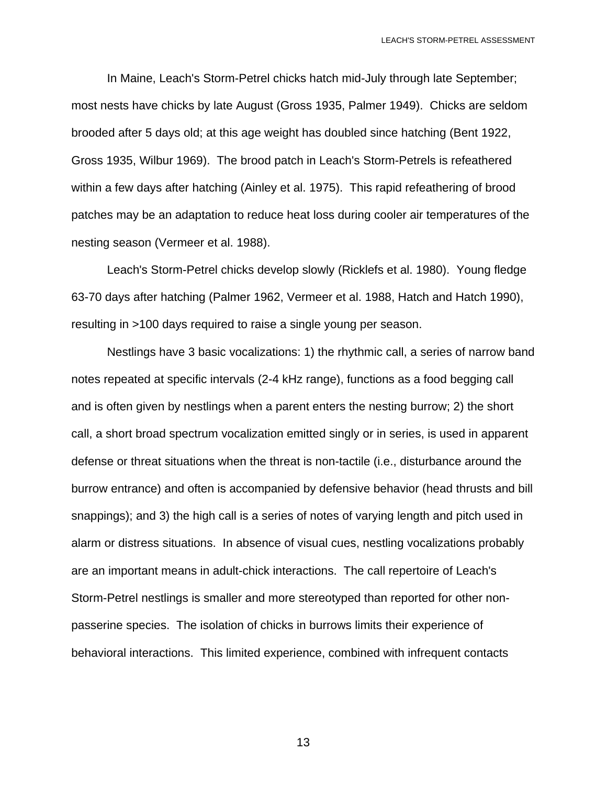In Maine, Leach's Storm-Petrel chicks hatch mid-July through late September; most nests have chicks by late August (Gross 1935, Palmer 1949). Chicks are seldom brooded after 5 days old; at this age weight has doubled since hatching (Bent 1922, Gross 1935, Wilbur 1969). The brood patch in Leach's Storm-Petrels is refeathered within a few days after hatching (Ainley et al. 1975). This rapid refeathering of brood patches may be an adaptation to reduce heat loss during cooler air temperatures of the nesting season (Vermeer et al. 1988).

 Leach's Storm-Petrel chicks develop slowly (Ricklefs et al. 1980). Young fledge 63-70 days after hatching (Palmer 1962, Vermeer et al. 1988, Hatch and Hatch 1990), resulting in >100 days required to raise a single young per season.

 Nestlings have 3 basic vocalizations: 1) the rhythmic call, a series of narrow band notes repeated at specific intervals (2-4 kHz range), functions as a food begging call and is often given by nestlings when a parent enters the nesting burrow; 2) the short call, a short broad spectrum vocalization emitted singly or in series, is used in apparent defense or threat situations when the threat is non-tactile (i.e., disturbance around the burrow entrance) and often is accompanied by defensive behavior (head thrusts and bill snappings); and 3) the high call is a series of notes of varying length and pitch used in alarm or distress situations. In absence of visual cues, nestling vocalizations probably are an important means in adult-chick interactions. The call repertoire of Leach's Storm-Petrel nestlings is smaller and more stereotyped than reported for other nonpasserine species. The isolation of chicks in burrows limits their experience of behavioral interactions. This limited experience, combined with infrequent contacts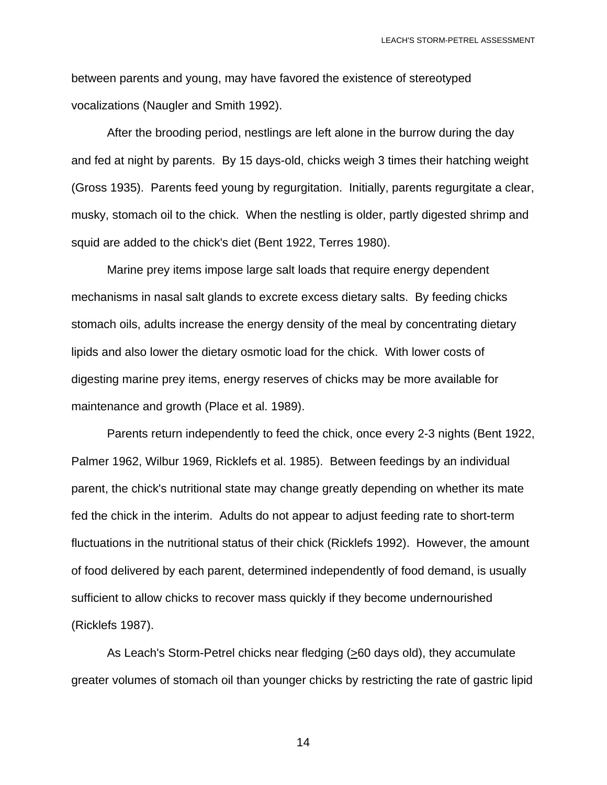between parents and young, may have favored the existence of stereotyped vocalizations (Naugler and Smith 1992).

 After the brooding period, nestlings are left alone in the burrow during the day and fed at night by parents. By 15 days-old, chicks weigh 3 times their hatching weight (Gross 1935). Parents feed young by regurgitation. Initially, parents regurgitate a clear, musky, stomach oil to the chick. When the nestling is older, partly digested shrimp and squid are added to the chick's diet (Bent 1922, Terres 1980).

 Marine prey items impose large salt loads that require energy dependent mechanisms in nasal salt glands to excrete excess dietary salts. By feeding chicks stomach oils, adults increase the energy density of the meal by concentrating dietary lipids and also lower the dietary osmotic load for the chick. With lower costs of digesting marine prey items, energy reserves of chicks may be more available for maintenance and growth (Place et al. 1989).

 Parents return independently to feed the chick, once every 2-3 nights (Bent 1922, Palmer 1962, Wilbur 1969, Ricklefs et al. 1985). Between feedings by an individual parent, the chick's nutritional state may change greatly depending on whether its mate fed the chick in the interim. Adults do not appear to adjust feeding rate to short-term fluctuations in the nutritional status of their chick (Ricklefs 1992). However, the amount of food delivered by each parent, determined independently of food demand, is usually sufficient to allow chicks to recover mass quickly if they become undernourished (Ricklefs 1987).

 As Leach's Storm-Petrel chicks near fledging (>60 days old), they accumulate greater volumes of stomach oil than younger chicks by restricting the rate of gastric lipid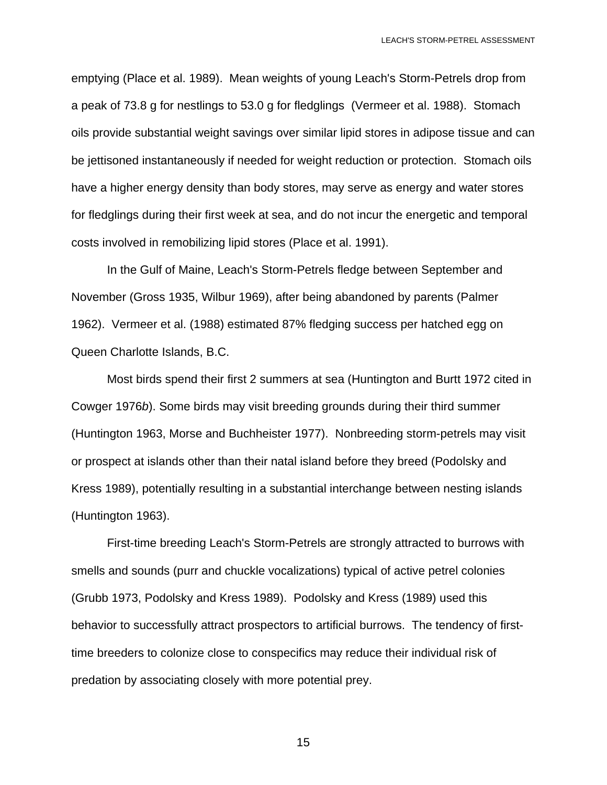emptying (Place et al. 1989). Mean weights of young Leach's Storm-Petrels drop from a peak of 73.8 g for nestlings to 53.0 g for fledglings (Vermeer et al. 1988). Stomach oils provide substantial weight savings over similar lipid stores in adipose tissue and can be jettisoned instantaneously if needed for weight reduction or protection. Stomach oils have a higher energy density than body stores, may serve as energy and water stores for fledglings during their first week at sea, and do not incur the energetic and temporal costs involved in remobilizing lipid stores (Place et al. 1991).

 In the Gulf of Maine, Leach's Storm-Petrels fledge between September and November (Gross 1935, Wilbur 1969), after being abandoned by parents (Palmer 1962). Vermeer et al. (1988) estimated 87% fledging success per hatched egg on Queen Charlotte Islands, B.C.

 Most birds spend their first 2 summers at sea (Huntington and Burtt 1972 cited in Cowger 1976*b*). Some birds may visit breeding grounds during their third summer (Huntington 1963, Morse and Buchheister 1977). Nonbreeding storm-petrels may visit or prospect at islands other than their natal island before they breed (Podolsky and Kress 1989), potentially resulting in a substantial interchange between nesting islands (Huntington 1963).

 First-time breeding Leach's Storm-Petrels are strongly attracted to burrows with smells and sounds (purr and chuckle vocalizations) typical of active petrel colonies (Grubb 1973, Podolsky and Kress 1989). Podolsky and Kress (1989) used this behavior to successfully attract prospectors to artificial burrows. The tendency of firsttime breeders to colonize close to conspecifics may reduce their individual risk of predation by associating closely with more potential prey.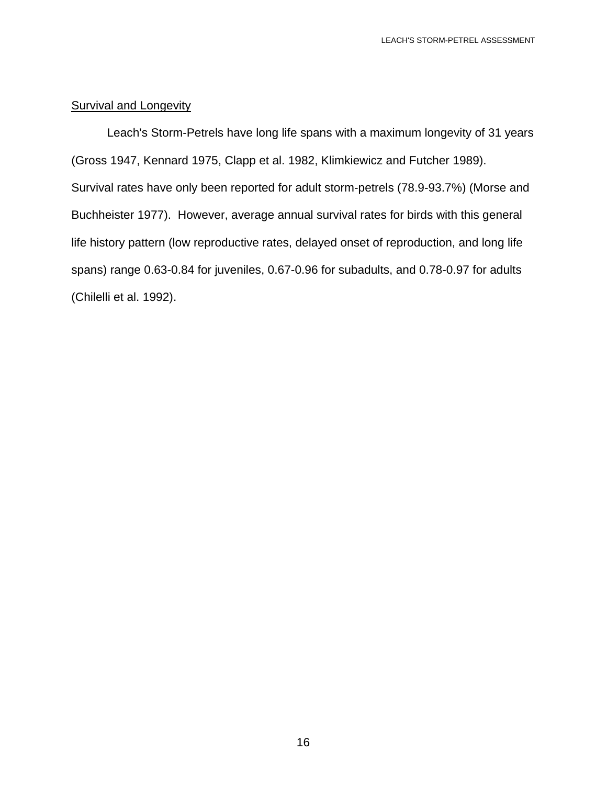## Survival and Longevity

 Leach's Storm-Petrels have long life spans with a maximum longevity of 31 years (Gross 1947, Kennard 1975, Clapp et al. 1982, Klimkiewicz and Futcher 1989). Survival rates have only been reported for adult storm-petrels (78.9-93.7%) (Morse and Buchheister 1977). However, average annual survival rates for birds with this general life history pattern (low reproductive rates, delayed onset of reproduction, and long life spans) range 0.63-0.84 for juveniles, 0.67-0.96 for subadults, and 0.78-0.97 for adults (Chilelli et al. 1992).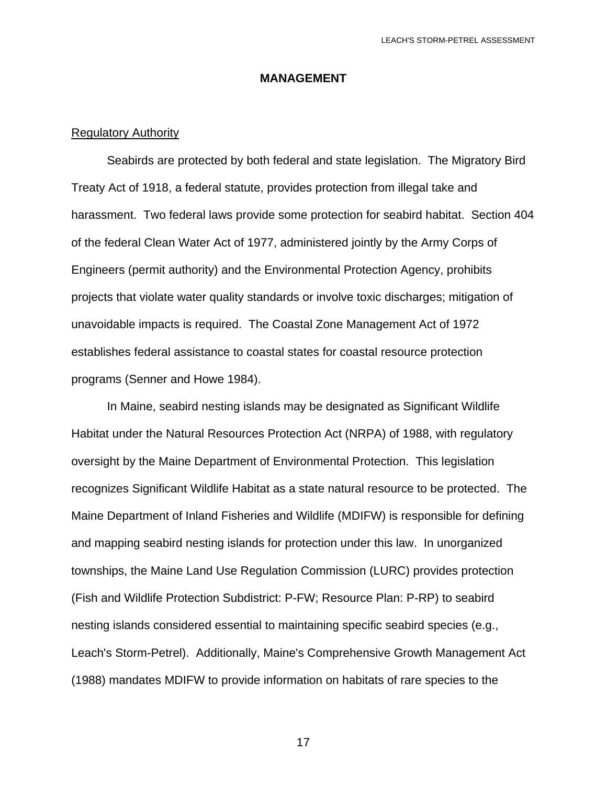#### **MANAGEMENT**

#### Regulatory Authority

 Seabirds are protected by both federal and state legislation. The Migratory Bird Treaty Act of 1918, a federal statute, provides protection from illegal take and harassment. Two federal laws provide some protection for seabird habitat. Section 404 of the federal Clean Water Act of 1977, administered jointly by the Army Corps of Engineers (permit authority) and the Environmental Protection Agency, prohibits projects that violate water quality standards or involve toxic discharges; mitigation of unavoidable impacts is required. The Coastal Zone Management Act of 1972 establishes federal assistance to coastal states for coastal resource protection programs (Senner and Howe 1984).

 In Maine, seabird nesting islands may be designated as Significant Wildlife Habitat under the Natural Resources Protection Act (NRPA) of 1988, with regulatory oversight by the Maine Department of Environmental Protection. This legislation recognizes Significant Wildlife Habitat as a state natural resource to be protected. The Maine Department of Inland Fisheries and Wildlife (MDIFW) is responsible for defining and mapping seabird nesting islands for protection under this law. In unorganized townships, the Maine Land Use Regulation Commission (LURC) provides protection (Fish and Wildlife Protection Subdistrict: P-FW; Resource Plan: P-RP) to seabird nesting islands considered essential to maintaining specific seabird species (e.g., Leach's Storm-Petrel). Additionally, Maine's Comprehensive Growth Management Act (1988) mandates MDIFW to provide information on habitats of rare species to the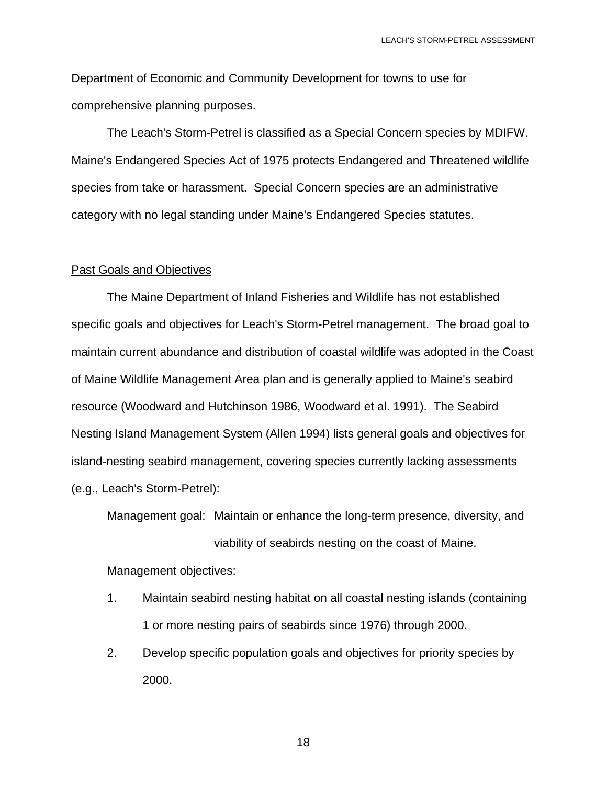Department of Economic and Community Development for towns to use for comprehensive planning purposes.

 The Leach's Storm-Petrel is classified as a Special Concern species by MDIFW. Maine's Endangered Species Act of 1975 protects Endangered and Threatened wildlife species from take or harassment. Special Concern species are an administrative category with no legal standing under Maine's Endangered Species statutes.

#### Past Goals and Objectives

 The Maine Department of Inland Fisheries and Wildlife has not established specific goals and objectives for Leach's Storm-Petrel management. The broad goal to maintain current abundance and distribution of coastal wildlife was adopted in the Coast of Maine Wildlife Management Area plan and is generally applied to Maine's seabird resource (Woodward and Hutchinson 1986, Woodward et al. 1991). The Seabird Nesting Island Management System (Allen 1994) lists general goals and objectives for island-nesting seabird management, covering species currently lacking assessments (e.g., Leach's Storm-Petrel):

 Management goal: Maintain or enhance the long-term presence, diversity, and viability of seabirds nesting on the coast of Maine.

Management objectives:

- 1. Maintain seabird nesting habitat on all coastal nesting islands (containing 1 or more nesting pairs of seabirds since 1976) through 2000.
- 2. Develop specific population goals and objectives for priority species by 2000.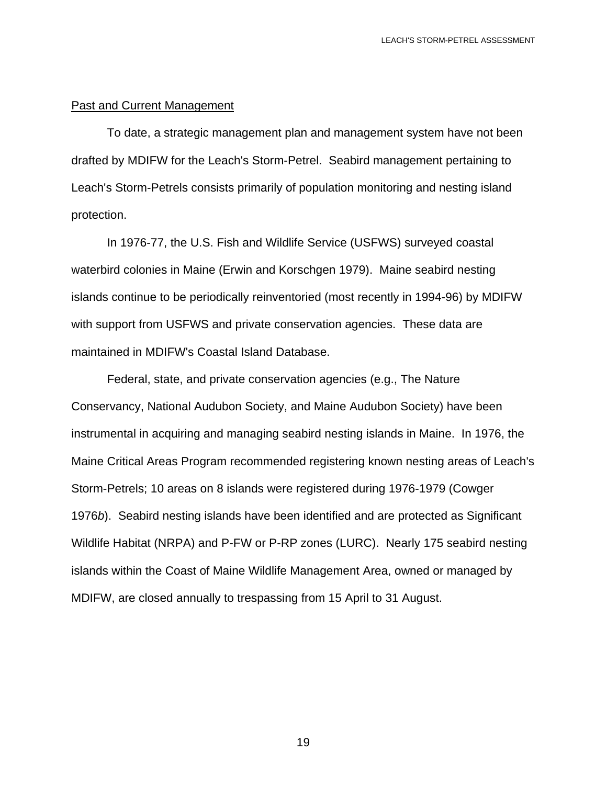#### Past and Current Management

 To date, a strategic management plan and management system have not been drafted by MDIFW for the Leach's Storm-Petrel. Seabird management pertaining to Leach's Storm-Petrels consists primarily of population monitoring and nesting island protection.

 In 1976-77, the U.S. Fish and Wildlife Service (USFWS) surveyed coastal waterbird colonies in Maine (Erwin and Korschgen 1979). Maine seabird nesting islands continue to be periodically reinventoried (most recently in 1994-96) by MDIFW with support from USFWS and private conservation agencies. These data are maintained in MDIFW's Coastal Island Database.

 Federal, state, and private conservation agencies (e.g., The Nature Conservancy, National Audubon Society, and Maine Audubon Society) have been instrumental in acquiring and managing seabird nesting islands in Maine. In 1976, the Maine Critical Areas Program recommended registering known nesting areas of Leach's Storm-Petrels; 10 areas on 8 islands were registered during 1976-1979 (Cowger 1976*b*). Seabird nesting islands have been identified and are protected as Significant Wildlife Habitat (NRPA) and P-FW or P-RP zones (LURC). Nearly 175 seabird nesting islands within the Coast of Maine Wildlife Management Area, owned or managed by MDIFW, are closed annually to trespassing from 15 April to 31 August.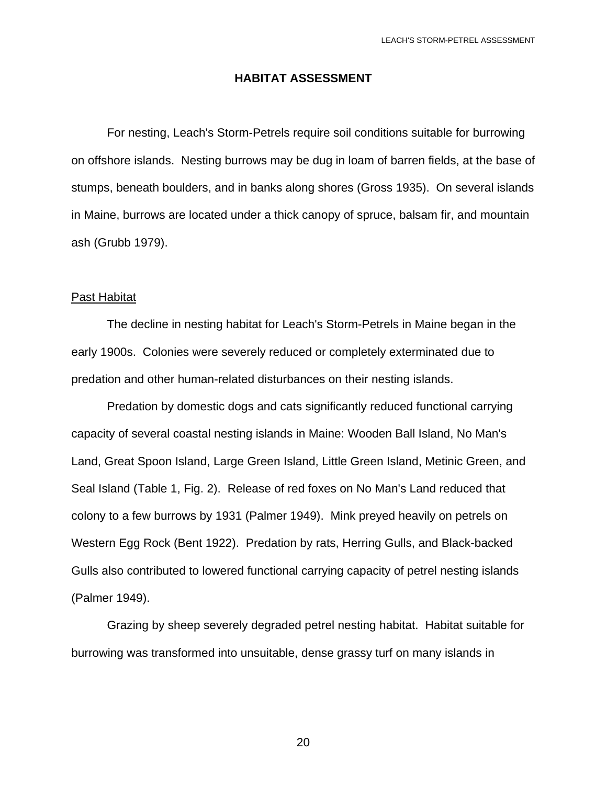#### **HABITAT ASSESSMENT**

 For nesting, Leach's Storm-Petrels require soil conditions suitable for burrowing on offshore islands. Nesting burrows may be dug in loam of barren fields, at the base of stumps, beneath boulders, and in banks along shores (Gross 1935). On several islands in Maine, burrows are located under a thick canopy of spruce, balsam fir, and mountain ash (Grubb 1979).

#### Past Habitat

 The decline in nesting habitat for Leach's Storm-Petrels in Maine began in the early 1900s. Colonies were severely reduced or completely exterminated due to predation and other human-related disturbances on their nesting islands.

 Predation by domestic dogs and cats significantly reduced functional carrying capacity of several coastal nesting islands in Maine: Wooden Ball Island, No Man's Land, Great Spoon Island, Large Green Island, Little Green Island, Metinic Green, and Seal Island (Table 1, Fig. 2). Release of red foxes on No Man's Land reduced that colony to a few burrows by 1931 (Palmer 1949). Mink preyed heavily on petrels on Western Egg Rock (Bent 1922). Predation by rats, Herring Gulls, and Black-backed Gulls also contributed to lowered functional carrying capacity of petrel nesting islands (Palmer 1949).

 Grazing by sheep severely degraded petrel nesting habitat. Habitat suitable for burrowing was transformed into unsuitable, dense grassy turf on many islands in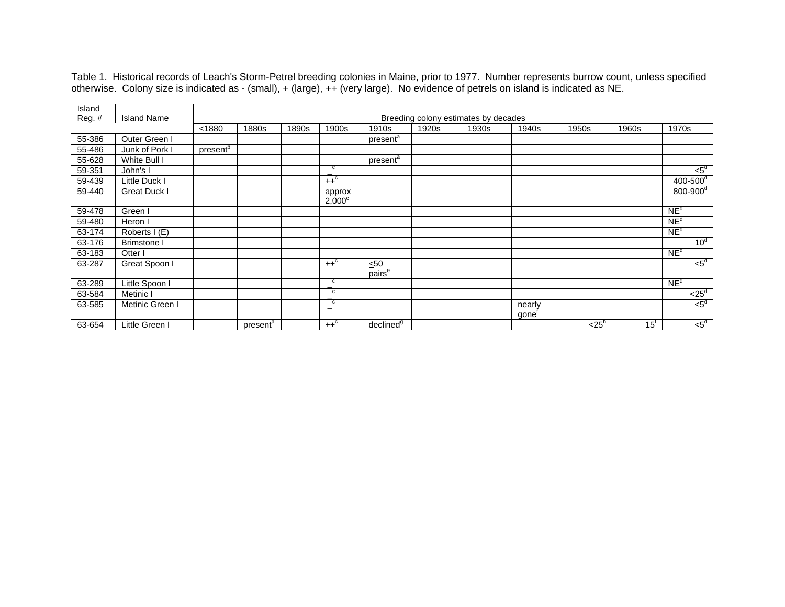Table 1. Historical records of Leach's Storm-Petrel breeding colonies in Maine, prior to 1977. Number represents burrow count, unless specified otherwise. Colony size is indicated as - (small), + (large), ++ (very large). No evidence of petrels on island is indicated as NE.

| Island |                    |                      |                      |       |                                            |                                 |       |                                      |                 |       |                   |                          |
|--------|--------------------|----------------------|----------------------|-------|--------------------------------------------|---------------------------------|-------|--------------------------------------|-----------------|-------|-------------------|--------------------------|
| Reg. # | <b>Island Name</b> |                      |                      |       |                                            |                                 |       | Breeding colony estimates by decades |                 |       |                   |                          |
|        |                    | < 1880               | 1880s                | 1890s | 1900s                                      | 1910s                           | 1920s | 1930s                                | 1940s           | 1950s | 1960s             | 1970s                    |
| 55-386 | Outer Green I      |                      |                      |       |                                            | present <sup>a</sup>            |       |                                      |                 |       |                   |                          |
| 55-486 | Junk of Pork I     | present <sup>b</sup> |                      |       |                                            |                                 |       |                                      |                 |       |                   |                          |
| 55-628 | White Bull I       |                      |                      |       |                                            | present <sup>a</sup>            |       |                                      |                 |       |                   |                          |
| 59-351 | John's I           |                      |                      |       | c                                          |                                 |       |                                      |                 |       |                   | $<$ 5 $d$                |
| 59-439 | Little Duck I      |                      |                      |       | $++^c$                                     |                                 |       |                                      |                 |       |                   | $400 - 500$ <sup>d</sup> |
| 59-440 | Great Duck I       |                      |                      |       | approx<br>$2,000^{\circ}$                  |                                 |       |                                      |                 |       |                   | $800 - 900$ <sup>d</sup> |
| 59-478 | Green I            |                      |                      |       |                                            |                                 |       |                                      |                 |       |                   | NE <sup>d</sup>          |
| 59-480 | Heron I            |                      |                      |       |                                            |                                 |       |                                      |                 |       |                   | NE <sup>d</sup>          |
| 63-174 | Roberts I (E)      |                      |                      |       |                                            |                                 |       |                                      |                 |       |                   | NE <sup>d</sup>          |
| 63-176 | <b>Brimstone I</b> |                      |                      |       |                                            |                                 |       |                                      |                 |       |                   | 10 <sup>d</sup>          |
| 63-183 | Otter              |                      |                      |       |                                            |                                 |       |                                      |                 |       |                   | NE <sup>d</sup>          |
| 63-287 | Great Spoon I      |                      |                      |       | $++^c$                                     | $\leq 50$<br>pairs <sup>e</sup> |       |                                      |                 |       |                   | $\leq 5^d$               |
| 63-289 | Little Spoon I     |                      |                      |       | $\mathbf c$                                |                                 |       |                                      |                 |       |                   | NE <sup>d</sup>          |
| 63-584 | Metinic I          |                      |                      |       | $\mathbf c$                                |                                 |       |                                      |                 |       |                   | $< 25^d$                 |
| 63-585 | Metinic Green I    |                      |                      |       | $\overline{c}$<br>$\overline{\phantom{m}}$ |                                 |       |                                      | nearly<br>gone' |       |                   | $5^d$                    |
| 63-654 | Little Green I     |                      | present <sup>a</sup> |       | $++^c$                                     | declined $\overline{9}$         |       |                                      |                 | $25h$ | $15$ <sup>t</sup> | $5^d$                    |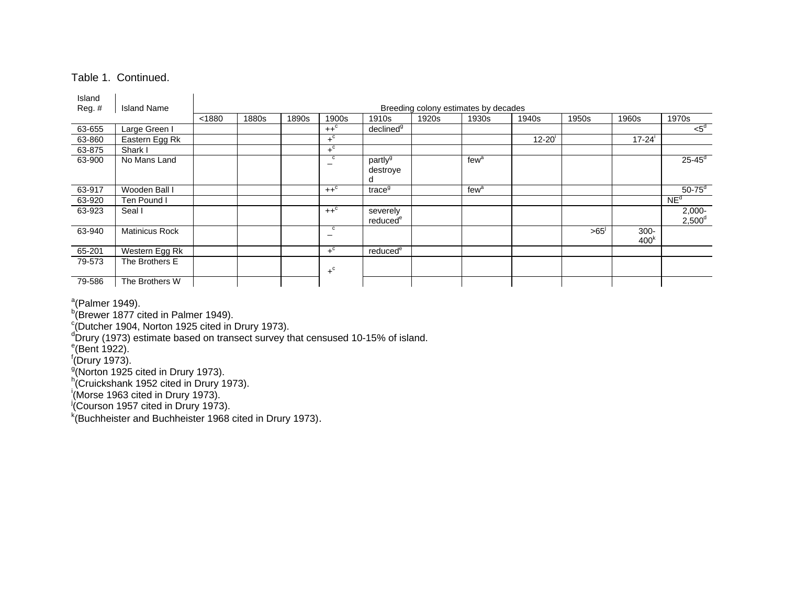#### Table 1. Continued.

| Island<br>Reg. # | <b>Island Name</b>    |        |       |       |                  |                                      |       | Breeding colony estimates by decades |           |       |                             |                        |
|------------------|-----------------------|--------|-------|-------|------------------|--------------------------------------|-------|--------------------------------------|-----------|-------|-----------------------------|------------------------|
|                  |                       | < 1880 | 1880s | 1890s | 1900s            | 1910s                                | 1920s | 1930s                                | 1940s     | 1950s | 1960s                       | 1970s                  |
| 63-655           | Large Green I         |        |       |       | $++^{\circ}$     | declined <sup>9</sup>                |       |                                      |           |       |                             | $5^d$                  |
| 63-860           | Eastern Egg Rk        |        |       |       | $+$ <sup>c</sup> |                                      |       |                                      | $12 - 20$ |       | $17 - 24$                   |                        |
| 63-875           | Shark I               |        |       |       | $+^{\circ}$      |                                      |       |                                      |           |       |                             |                        |
| 63-900           | No Mans Land          |        |       |       | c                | partly <sup>g</sup><br>destroye<br>d |       | few <sup>a</sup>                     |           |       |                             | $25 - 45^d$            |
| 63-917           | Wooden Ball I         |        |       |       | $++^c$           | trace <sup>g</sup>                   |       | few <sup>a</sup>                     |           |       |                             | $50-75$ <sup>d</sup>   |
| 63-920           | Ten Pound I           |        |       |       |                  |                                      |       |                                      |           |       |                             | NE <sup>d</sup>        |
| 63-923           | Seal I                |        |       |       | $++^c$           | severely<br>reduced <sup>e</sup>     |       |                                      |           |       |                             | $2,000 -$<br>$2,500^d$ |
| 63-940           | <b>Matinicus Rock</b> |        |       |       | c                |                                      |       |                                      |           | >65   | $300 -$<br>400 <sup>k</sup> |                        |
| 65-201           | Western Egg Rk        |        |       |       | $+^{\circ}$      | reduced <sup>e</sup>                 |       |                                      |           |       |                             |                        |
| 79-573           | The Brothers E        |        |       |       | $+$ <sup>c</sup> |                                      |       |                                      |           |       |                             |                        |
| 79-586           | The Brothers W        |        |       |       |                  |                                      |       |                                      |           |       |                             |                        |

<sup>a</sup>(Palmer 1949).<br><sup>b</sup>(Brewer 1877 cited in Palmer 1949).

c(Dutcher 1904, Norton 1925 cited in Drury 1973).<br>dDrury (1973) estimate based on transect survey that censused 10-15% of island.<br>e(Bent 1922).

 $\overline{\phantom{a}}^{\dagger}$ (Drury 1973).

g(Norton 1925 cited in Drury 1973).<br>h(Cruickshank 1952 cited in Drury 1973).<br><sup>i</sup>(Morse 1963 cited in Drury 1973).<br><sup>j</sup>(Courson 1957 cited in Drury 1973).

 $k$ (Buchheister and Buchheister 1968 cited in Drury 1973).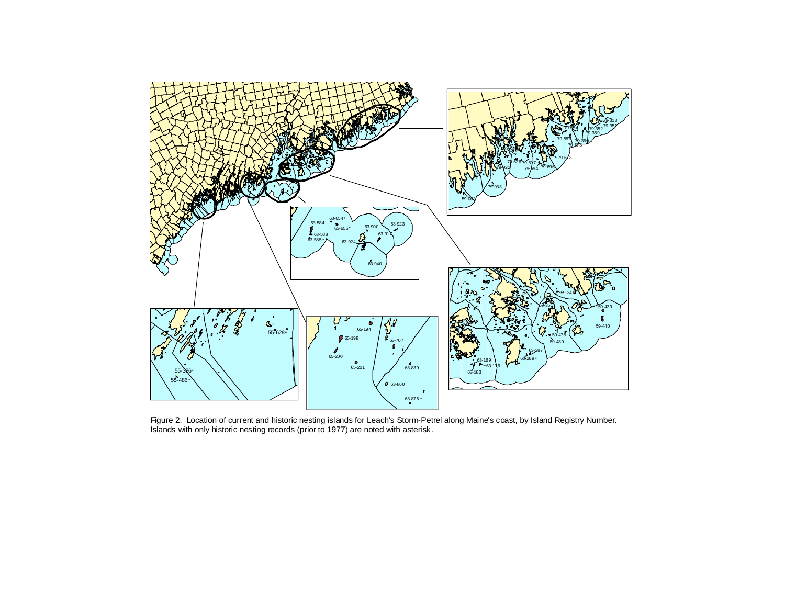

Figure 2. Location of current and historic nesting islands for Leach's Storm-Petrel along Maine's coast, by Island Registry Number. Islands with only historic nesting records (prior to 1977) are noted with asterisk.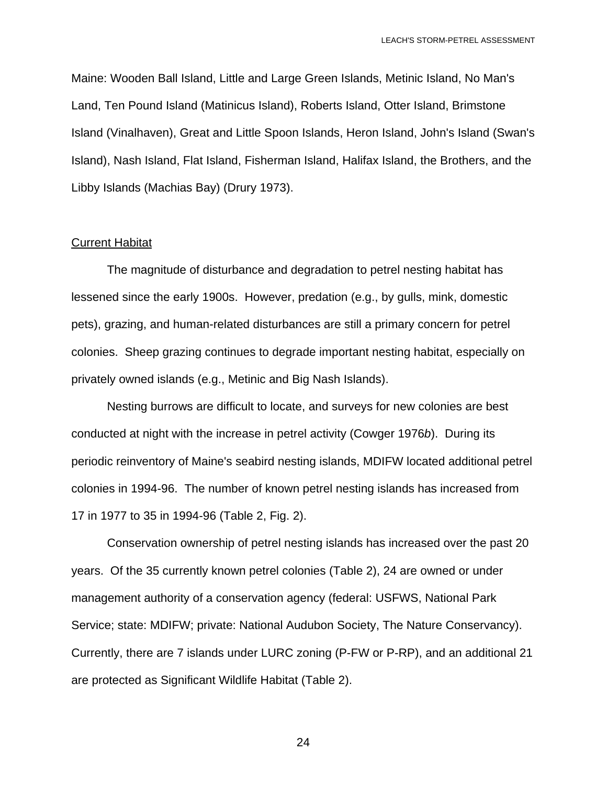Maine: Wooden Ball Island, Little and Large Green Islands, Metinic Island, No Man's Land, Ten Pound Island (Matinicus Island), Roberts Island, Otter Island, Brimstone Island (Vinalhaven), Great and Little Spoon Islands, Heron Island, John's Island (Swan's Island), Nash Island, Flat Island, Fisherman Island, Halifax Island, the Brothers, and the Libby Islands (Machias Bay) (Drury 1973).

#### Current Habitat

 The magnitude of disturbance and degradation to petrel nesting habitat has lessened since the early 1900s. However, predation (e.g., by gulls, mink, domestic pets), grazing, and human-related disturbances are still a primary concern for petrel colonies. Sheep grazing continues to degrade important nesting habitat, especially on privately owned islands (e.g., Metinic and Big Nash Islands).

 Nesting burrows are difficult to locate, and surveys for new colonies are best conducted at night with the increase in petrel activity (Cowger 1976*b*). During its periodic reinventory of Maine's seabird nesting islands, MDIFW located additional petrel colonies in 1994-96. The number of known petrel nesting islands has increased from 17 in 1977 to 35 in 1994-96 (Table 2, Fig. 2).

 Conservation ownership of petrel nesting islands has increased over the past 20 years. Of the 35 currently known petrel colonies (Table 2), 24 are owned or under management authority of a conservation agency (federal: USFWS, National Park Service; state: MDIFW; private: National Audubon Society, The Nature Conservancy). Currently, there are 7 islands under LURC zoning (P-FW or P-RP), and an additional 21 are protected as Significant Wildlife Habitat (Table 2).

<u>24</u>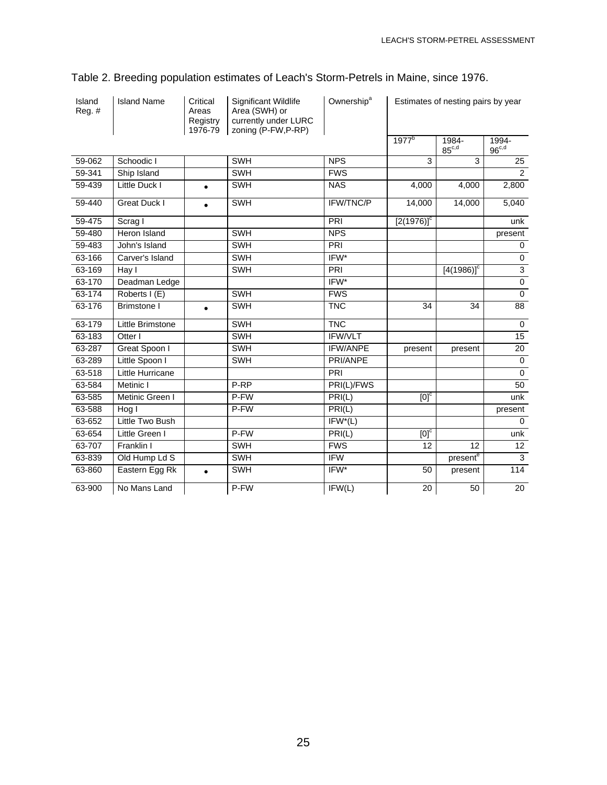| Island<br>Reg. # | <b>Island Name</b>  | Critical<br>Areas<br>Registry<br>1976-79 | Significant Wildlife<br>Area (SWH) or<br>currently under LURC<br>zoning (P-FW,P-RP) | Ownership <sup>a</sup> |                    | Estimates of nesting pairs by year |                     |  |
|------------------|---------------------|------------------------------------------|-------------------------------------------------------------------------------------|------------------------|--------------------|------------------------------------|---------------------|--|
|                  |                     |                                          |                                                                                     |                        | 1977 <sup>b</sup>  | 1984-<br>$85^{\mathrm{c,d}}$       | 1994-<br>$96^{c,d}$ |  |
| 59-062           | Schoodic I          |                                          | <b>SWH</b>                                                                          | <b>NPS</b>             | 3                  | 3                                  | 25                  |  |
| 59-341           | Ship Island         |                                          | <b>SWH</b>                                                                          | <b>FWS</b>             |                    |                                    | $\overline{2}$      |  |
| 59-439           | Little Duck I       | $\bullet$                                | <b>SWH</b>                                                                          | <b>NAS</b>             | 4.000              | 4.000                              | 2,800               |  |
| 59-440           | <b>Great Duck I</b> |                                          | <b>SWH</b>                                                                          | IFW/TNC/P              | 14,000             | 14,000                             | 5,040               |  |
| 59-475           | Scrag I             |                                          |                                                                                     | PRI                    | $[2(1976)]^c$      |                                    | unk                 |  |
| 59-480           | Heron Island        |                                          | SWH                                                                                 | <b>NPS</b>             |                    |                                    | present             |  |
| 59-483           | John's Island       |                                          | SWH                                                                                 | PRI                    |                    |                                    | 0                   |  |
| 63-166           | Carver's Island     |                                          | SWH                                                                                 | IFW*                   |                    |                                    | $\mathbf 0$         |  |
| 63-169           | Hay I               |                                          | <b>SWH</b>                                                                          | PRI                    |                    | $[4(1986)]^c$                      | 3                   |  |
| 63-170           | Deadman Ledge       |                                          |                                                                                     | IFW*                   |                    |                                    | $\pmb{0}$           |  |
| 63-174           | Roberts I (E)       |                                          | SWH                                                                                 | <b>FWS</b>             |                    |                                    | $\mathbf 0$         |  |
| 63-176           | <b>Brimstone I</b>  | $\bullet$                                | SWH                                                                                 | <b>TNC</b>             | 34                 | 34                                 | 88                  |  |
| 63-179           | Little Brimstone    |                                          | SWH                                                                                 | <b>TNC</b>             |                    |                                    | $\mathbf 0$         |  |
| 63-183           | Otter I             |                                          | SWH                                                                                 | IFW/VLT                |                    |                                    | 15                  |  |
| 63-287           | Great Spoon I       |                                          | <b>SWH</b>                                                                          | <b>IFW/ANPE</b>        | present            | present                            | 20                  |  |
| 63-289           | Little Spoon I      |                                          | <b>SWH</b>                                                                          | PRI/ANPE               |                    |                                    | $\mathbf 0$         |  |
| 63-518           | Little Hurricane    |                                          |                                                                                     | PRI                    |                    |                                    | $\mathbf{0}$        |  |
| 63-584           | Metinic I           |                                          | P-RP                                                                                | PRI(L)/FWS             |                    |                                    | 50                  |  |
| 63-585           | Metinic Green I     |                                          | P-FW                                                                                | PRI(L)                 | $[0]$ <sub>c</sub> |                                    | unk                 |  |
| 63-588           | Hog I               |                                          | P-FW                                                                                | PRI(L)                 |                    |                                    | present             |  |
| 63-652           | Little Two Bush     |                                          |                                                                                     | $IFW^*(L)$             |                    |                                    | $\Omega$            |  |
| 63-654           | Little Green I      |                                          | P-FW                                                                                | PRI(L)                 | $[0]$ <sub>c</sub> |                                    | unk                 |  |
| 63-707           | Franklin I          |                                          | <b>SWH</b>                                                                          | <b>FWS</b>             | 12                 | 12                                 | 12                  |  |
| 63-839           | Old Hump Ld S       |                                          | <b>SWH</b>                                                                          | <b>IFW</b>             |                    | present <sup>e</sup>               | 3                   |  |
| 63-860           | Eastern Egg Rk      | $\bullet$                                | SWH                                                                                 | IFW*                   | 50                 | present                            | 114                 |  |
| 63-900           | No Mans Land        |                                          | P-FW                                                                                | IFW(L)                 | 20                 | 50                                 | 20                  |  |

## Table 2. Breeding population estimates of Leach's Storm-Petrels in Maine, since 1976.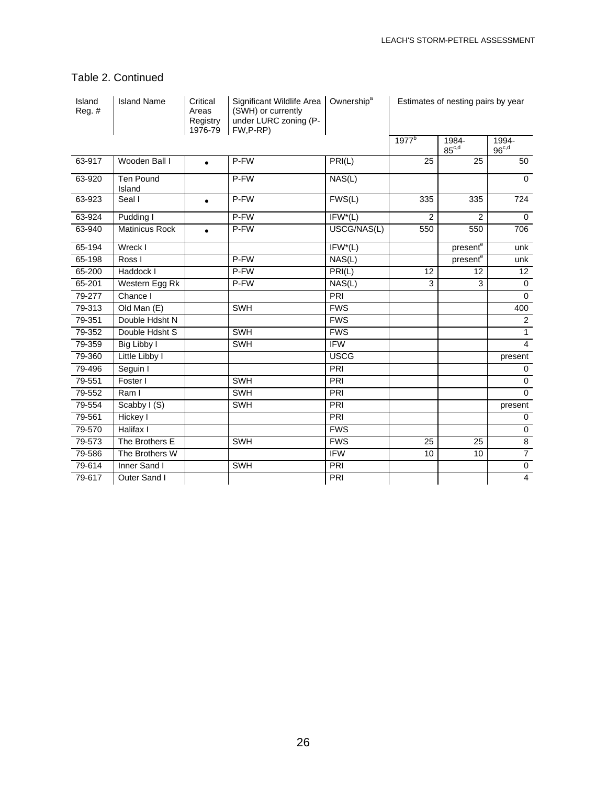## Table 2. Continued

| Island<br>Reg. # | <b>Island Name</b>         | Critical<br>Areas<br>Registry<br>1976-79 | Significant Wildlife Area<br>(SWH) or currently<br>under LURC zoning (P-<br>FW,P-RP) | Ownership <sup>a</sup>     | Estimates of nesting pairs by year |                              |                     |
|------------------|----------------------------|------------------------------------------|--------------------------------------------------------------------------------------|----------------------------|------------------------------------|------------------------------|---------------------|
|                  |                            |                                          |                                                                                      |                            | 1977 <sup>b</sup>                  | 1984-<br>$85^{\mathrm{c,d}}$ | 1994-<br>$96^{c,d}$ |
| 63-917           | Wooden Ball I              | $\bullet$                                | P-FW                                                                                 | PRI(L)                     | 25                                 | 25                           | 50                  |
| 63-920           | <b>Ten Pound</b><br>Island |                                          | P-FW                                                                                 | NAS(L)                     |                                    |                              | $\Omega$            |
| 63-923           | Seal I                     | $\bullet$                                | P-FW                                                                                 | FWS(L)                     | 335                                | 335                          | 724                 |
| 63-924           | Pudding I                  |                                          | P-FW                                                                                 | $IFW^*(L)$                 | 2                                  | $\overline{2}$               | $\mathbf 0$         |
| 63-940           | <b>Matinicus Rock</b>      |                                          | P-FW                                                                                 | USCG/NAS(L)                | 550                                | 550                          | 706                 |
| 65-194           | Wreck I                    |                                          |                                                                                      | $IFW^*(L)$                 |                                    | present <sup>e</sup>         | unk                 |
| 65-198           | Ross I                     |                                          | P-FW                                                                                 | NAS(L)                     |                                    | present <sup>e</sup>         | unk                 |
| 65-200           | Haddock I                  |                                          | P-FW                                                                                 | PRI(L)                     | 12                                 | 12                           | 12                  |
| 65-201           | Western Egg Rk             |                                          | P-FW                                                                                 | $\overline{\text{NAS}}(L)$ | 3                                  | 3                            | $\mathbf 0$         |
| 79-277           | Chance I                   |                                          |                                                                                      | PRI                        |                                    |                              | $\mathbf 0$         |
| 79-313           | Old Man (E)                |                                          | SWH                                                                                  | <b>FWS</b>                 |                                    |                              | 400                 |
| 79-351           | Double Hdsht N             |                                          |                                                                                      | <b>FWS</b>                 |                                    |                              | $\overline{2}$      |
| 79-352           | Double Hdsht S             |                                          | <b>SWH</b>                                                                           | <b>FWS</b>                 |                                    |                              | $\mathbf{1}$        |
| 79-359           | Big Libby I                |                                          | SWH                                                                                  | <b>IFW</b>                 |                                    |                              | $\overline{4}$      |
| 79-360           | Little Libby I             |                                          |                                                                                      | <b>USCG</b>                |                                    |                              | present             |
| 79-496           | Seguin I                   |                                          |                                                                                      | PRI                        |                                    |                              | $\mathbf 0$         |
| 79-551           | Foster I                   |                                          | <b>SWH</b>                                                                           | PRI                        |                                    |                              | $\mathbf 0$         |
| 79-552           | Ram I                      |                                          | SWH                                                                                  | PRI                        |                                    |                              | $\Omega$            |
| 79-554           | Scabby I (S)               |                                          | <b>SWH</b>                                                                           | PRI                        |                                    |                              | present             |
| 79-561           | Hickey I                   |                                          |                                                                                      | PRI                        |                                    |                              | $\mathbf 0$         |
| 79-570           | Halifax I                  |                                          |                                                                                      | <b>FWS</b>                 |                                    |                              | $\mathbf 0$         |
| 79-573           | The Brothers E             |                                          | <b>SWH</b>                                                                           | <b>FWS</b>                 | 25                                 | 25                           | $\overline{8}$      |
| 79-586           | The Brothers W             |                                          |                                                                                      | <b>IFW</b>                 | 10                                 | 10                           | $\overline{7}$      |
| 79-614           | Inner Sand I               |                                          | <b>SWH</b>                                                                           | PRI                        |                                    |                              | $\mathbf 0$         |
| 79-617           | Outer Sand I               |                                          |                                                                                      | PRI                        |                                    |                              | $\overline{4}$      |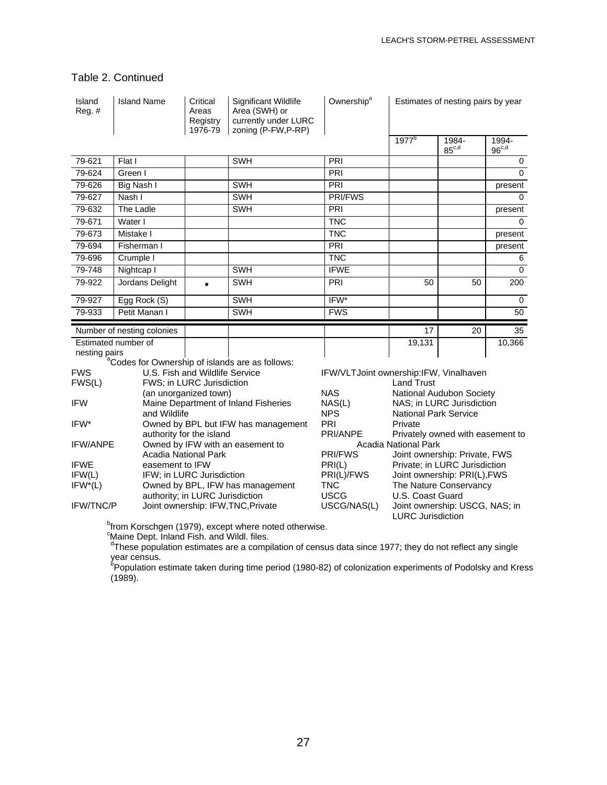### Table 2. Continued

| Island<br>Reg. # | <b>Island Name</b>                                          | Critical<br>Areas<br>Registry<br>1976-79 | Significant Wildlife<br>Area (SWH) or<br>currently under LURC<br>zoning (P-FW,P-RP) | Ownership <sup>a</sup>                 |                                              | Estimates of nesting pairs by year |                            |
|------------------|-------------------------------------------------------------|------------------------------------------|-------------------------------------------------------------------------------------|----------------------------------------|----------------------------------------------|------------------------------------|----------------------------|
|                  |                                                             |                                          |                                                                                     |                                        | 1977 <sup>b</sup>                            | 1984-<br>$85^{\text{c,d}}$         | 1994-<br>96 <sup>c,d</sup> |
| 79-621           | Flat I                                                      |                                          | <b>SWH</b>                                                                          | PRI                                    |                                              |                                    | 0                          |
| 79-624           | Green I                                                     |                                          |                                                                                     | PRI                                    |                                              |                                    | $\mathbf 0$                |
| 79-626           | Big Nash I                                                  |                                          | <b>SWH</b>                                                                          | PRI                                    |                                              |                                    | present                    |
| 79-627           | Nash I                                                      |                                          | SWH                                                                                 | <b>PRI/FWS</b>                         |                                              |                                    | $\Omega$                   |
| 79-632           | The Ladle                                                   |                                          | SWH                                                                                 | PRI                                    |                                              |                                    | present                    |
| 79-671           | Water I                                                     |                                          |                                                                                     | <b>TNC</b>                             |                                              |                                    | $\Omega$                   |
| 79-673           | Mistake I                                                   |                                          |                                                                                     | <b>TNC</b>                             |                                              |                                    | present                    |
| 79-694           | Fisherman I                                                 |                                          |                                                                                     | PRI                                    |                                              |                                    | present                    |
| 79-696           | Crumple I                                                   |                                          |                                                                                     | <b>TNC</b>                             |                                              |                                    | 6                          |
| 79-748           | Nightcap I                                                  |                                          | <b>SWH</b>                                                                          | <b>IFWE</b>                            |                                              |                                    | $\mathbf 0$                |
| 79-922           | Jordans Delight                                             | $\bullet$                                | <b>SWH</b>                                                                          | PRI                                    | 50                                           | 50                                 | 200                        |
| 79-927           | Egg Rock (S)                                                |                                          | <b>SWH</b>                                                                          | IFW*                                   |                                              |                                    | $\mathbf 0$                |
| 79-933           | Petit Manan I                                               |                                          | <b>SWH</b>                                                                          | <b>FWS</b>                             |                                              |                                    | 50                         |
|                  | Number of nesting colonies                                  |                                          |                                                                                     |                                        | 17                                           | 20                                 | 35                         |
|                  |                                                             |                                          |                                                                                     |                                        |                                              |                                    |                            |
|                  |                                                             |                                          |                                                                                     |                                        |                                              |                                    |                            |
|                  | Estimated number of                                         |                                          |                                                                                     |                                        | 19,131                                       |                                    | 10,366                     |
| nesting pairs    | <sup>a</sup> Codes for Ownership of islands are as follows: |                                          |                                                                                     |                                        |                                              |                                    |                            |
| <b>FWS</b>       |                                                             | U.S. Fish and Wildlife Service           |                                                                                     | IFW/VLTJoint ownership:IFW, Vinalhaven |                                              |                                    |                            |
| FWS(L)           |                                                             | FWS; in LURC Jurisdiction                |                                                                                     |                                        | <b>Land Trust</b>                            |                                    |                            |
|                  |                                                             | (an unorganized town)                    |                                                                                     | <b>NAS</b>                             |                                              | National Audubon Society           |                            |
| <b>IFW</b>       |                                                             |                                          | Maine Department of Inland Fisheries                                                | NAS(L)                                 |                                              | NAS; in LURC Jurisdiction          |                            |
| IFW*             | and Wildlife                                                |                                          |                                                                                     | <b>NPS</b><br>PRI                      | <b>National Park Service</b><br>Private      |                                    |                            |
|                  |                                                             |                                          | Owned by BPL but IFW has management                                                 | PRI/ANPE                               |                                              |                                    |                            |
| <b>IFW/ANPE</b>  |                                                             | authority for the island                 | Owned by IFW with an easement to                                                    |                                        | Acadia National Park                         | Privately owned with easement to   |                            |
|                  |                                                             | <b>Acadia National Park</b>              |                                                                                     | PRI/FWS                                |                                              | Joint ownership: Private, FWS      |                            |
| <b>IFWE</b>      | easement to IFW                                             |                                          |                                                                                     | PRI(L)                                 |                                              | Private; in LURC Jurisdiction      |                            |
| IFW(L)           |                                                             | IFW; in LURC Jurisdiction                |                                                                                     | PRI(L)/FWS                             |                                              | Joint ownership: PRI(L), FWS       |                            |
| $IFW^*(L)$       |                                                             |                                          | Owned by BPL, IFW has management                                                    | <b>TNC</b>                             |                                              | The Nature Conservancy             |                            |
| <b>IFW/TNC/P</b> |                                                             | authority; in LURC Jurisdiction          | Joint ownership: IFW, TNC, Private                                                  | <b>USCG</b><br>USCG/NAS(L)             | U.S. Coast Guard<br><b>LURC Jurisdiction</b> | Joint ownership: USCG, NAS; in     |                            |
|                  | <sup>c</sup> Maine Dept. Inland Fish. and Wildl. files.     |                                          | <sup>b</sup> from Korschgen (1979), except where noted otherwise.                   |                                        |                                              |                                    |                            |

<sup>d</sup>These population estimates are a compilation of census data since 1977; they do not reflect any single

year census.<br><sup>e</sup>Population estimate taken during time period (1980-82) of colonization experiments of Podolsky and Kress (1989).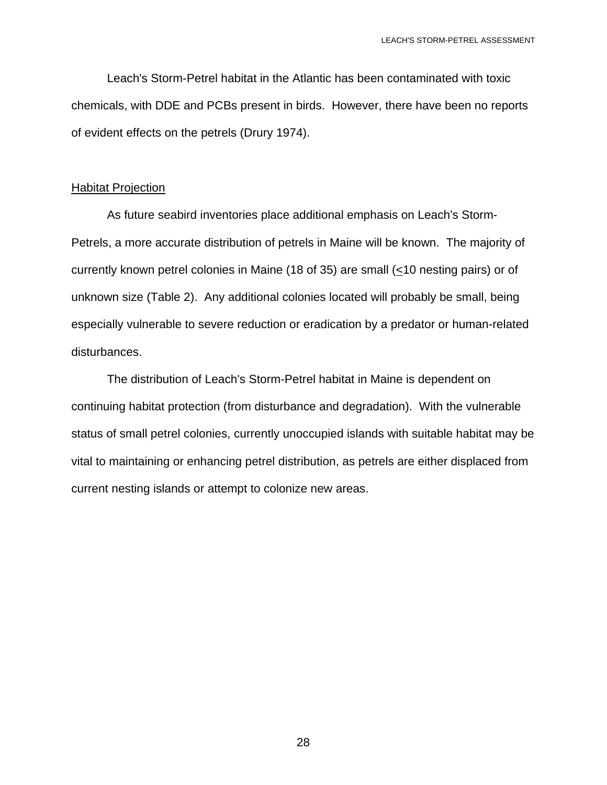Leach's Storm-Petrel habitat in the Atlantic has been contaminated with toxic chemicals, with DDE and PCBs present in birds. However, there have been no reports of evident effects on the petrels (Drury 1974).

#### **Habitat Projection**

 As future seabird inventories place additional emphasis on Leach's Storm-Petrels, a more accurate distribution of petrels in Maine will be known. The majority of currently known petrel colonies in Maine (18 of 35) are small (<10 nesting pairs) or of unknown size (Table 2). Any additional colonies located will probably be small, being especially vulnerable to severe reduction or eradication by a predator or human-related disturbances.

 The distribution of Leach's Storm-Petrel habitat in Maine is dependent on continuing habitat protection (from disturbance and degradation). With the vulnerable status of small petrel colonies, currently unoccupied islands with suitable habitat may be vital to maintaining or enhancing petrel distribution, as petrels are either displaced from current nesting islands or attempt to colonize new areas.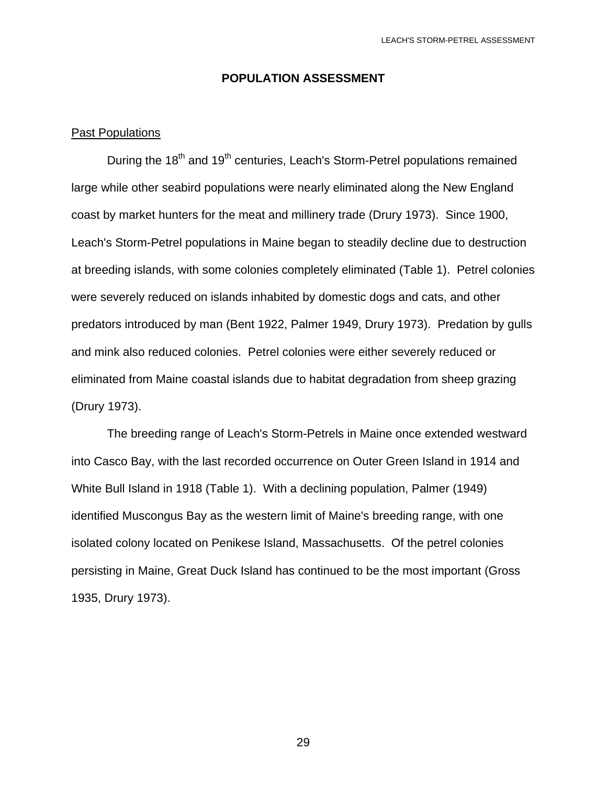#### **POPULATION ASSESSMENT**

#### Past Populations

During the 18<sup>th</sup> and 19<sup>th</sup> centuries, Leach's Storm-Petrel populations remained large while other seabird populations were nearly eliminated along the New England coast by market hunters for the meat and millinery trade (Drury 1973). Since 1900, Leach's Storm-Petrel populations in Maine began to steadily decline due to destruction at breeding islands, with some colonies completely eliminated (Table 1). Petrel colonies were severely reduced on islands inhabited by domestic dogs and cats, and other predators introduced by man (Bent 1922, Palmer 1949, Drury 1973). Predation by gulls and mink also reduced colonies. Petrel colonies were either severely reduced or eliminated from Maine coastal islands due to habitat degradation from sheep grazing (Drury 1973).

 The breeding range of Leach's Storm-Petrels in Maine once extended westward into Casco Bay, with the last recorded occurrence on Outer Green Island in 1914 and White Bull Island in 1918 (Table 1). With a declining population, Palmer (1949) identified Muscongus Bay as the western limit of Maine's breeding range, with one isolated colony located on Penikese Island, Massachusetts. Of the petrel colonies persisting in Maine, Great Duck Island has continued to be the most important (Gross 1935, Drury 1973).

<u>29 and 29</u>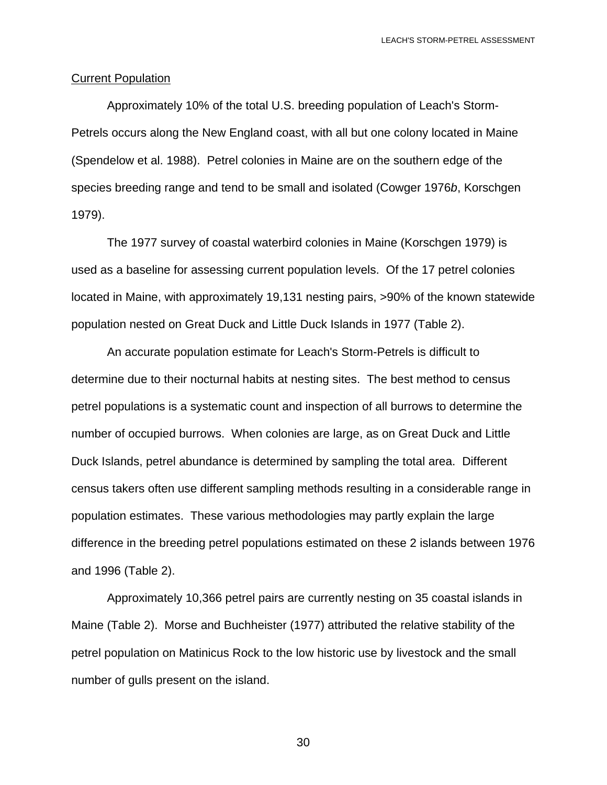#### Current Population

 Approximately 10% of the total U.S. breeding population of Leach's Storm-Petrels occurs along the New England coast, with all but one colony located in Maine (Spendelow et al. 1988). Petrel colonies in Maine are on the southern edge of the species breeding range and tend to be small and isolated (Cowger 1976*b*, Korschgen 1979).

 The 1977 survey of coastal waterbird colonies in Maine (Korschgen 1979) is used as a baseline for assessing current population levels. Of the 17 petrel colonies located in Maine, with approximately 19,131 nesting pairs, >90% of the known statewide population nested on Great Duck and Little Duck Islands in 1977 (Table 2).

 An accurate population estimate for Leach's Storm-Petrels is difficult to determine due to their nocturnal habits at nesting sites. The best method to census petrel populations is a systematic count and inspection of all burrows to determine the number of occupied burrows. When colonies are large, as on Great Duck and Little Duck Islands, petrel abundance is determined by sampling the total area. Different census takers often use different sampling methods resulting in a considerable range in population estimates. These various methodologies may partly explain the large difference in the breeding petrel populations estimated on these 2 islands between 1976 and 1996 (Table 2).

 Approximately 10,366 petrel pairs are currently nesting on 35 coastal islands in Maine (Table 2). Morse and Buchheister (1977) attributed the relative stability of the petrel population on Matinicus Rock to the low historic use by livestock and the small number of gulls present on the island.

<u>30</u>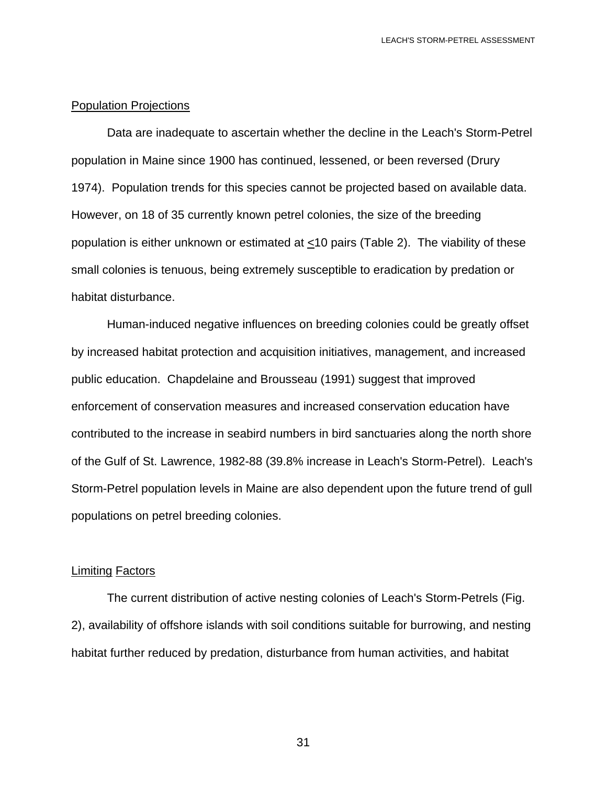#### Population Projections

 Data are inadequate to ascertain whether the decline in the Leach's Storm-Petrel population in Maine since 1900 has continued, lessened, or been reversed (Drury 1974). Population trends for this species cannot be projected based on available data. However, on 18 of 35 currently known petrel colonies, the size of the breeding population is either unknown or estimated at <10 pairs (Table 2). The viability of these small colonies is tenuous, being extremely susceptible to eradication by predation or habitat disturbance.

 Human-induced negative influences on breeding colonies could be greatly offset by increased habitat protection and acquisition initiatives, management, and increased public education. Chapdelaine and Brousseau (1991) suggest that improved enforcement of conservation measures and increased conservation education have contributed to the increase in seabird numbers in bird sanctuaries along the north shore of the Gulf of St. Lawrence, 1982-88 (39.8% increase in Leach's Storm-Petrel). Leach's Storm-Petrel population levels in Maine are also dependent upon the future trend of gull populations on petrel breeding colonies.

#### Limiting Factors

 The current distribution of active nesting colonies of Leach's Storm-Petrels (Fig. 2), availability of offshore islands with soil conditions suitable for burrowing, and nesting habitat further reduced by predation, disturbance from human activities, and habitat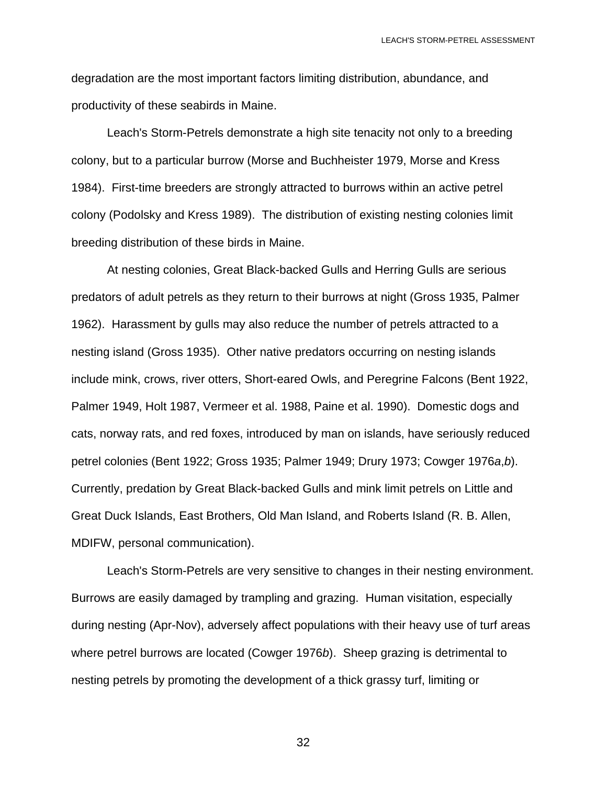degradation are the most important factors limiting distribution, abundance, and productivity of these seabirds in Maine.

 Leach's Storm-Petrels demonstrate a high site tenacity not only to a breeding colony, but to a particular burrow (Morse and Buchheister 1979, Morse and Kress 1984). First-time breeders are strongly attracted to burrows within an active petrel colony (Podolsky and Kress 1989). The distribution of existing nesting colonies limit breeding distribution of these birds in Maine.

 At nesting colonies, Great Black-backed Gulls and Herring Gulls are serious predators of adult petrels as they return to their burrows at night (Gross 1935, Palmer 1962). Harassment by gulls may also reduce the number of petrels attracted to a nesting island (Gross 1935). Other native predators occurring on nesting islands include mink, crows, river otters, Short-eared Owls, and Peregrine Falcons (Bent 1922, Palmer 1949, Holt 1987, Vermeer et al. 1988, Paine et al. 1990). Domestic dogs and cats, norway rats, and red foxes, introduced by man on islands, have seriously reduced petrel colonies (Bent 1922; Gross 1935; Palmer 1949; Drury 1973; Cowger 1976*a*,*b*). Currently, predation by Great Black-backed Gulls and mink limit petrels on Little and Great Duck Islands, East Brothers, Old Man Island, and Roberts Island (R. B. Allen, MDIFW, personal communication).

 Leach's Storm-Petrels are very sensitive to changes in their nesting environment. Burrows are easily damaged by trampling and grazing. Human visitation, especially during nesting (Apr-Nov), adversely affect populations with their heavy use of turf areas where petrel burrows are located (Cowger 1976*b*). Sheep grazing is detrimental to nesting petrels by promoting the development of a thick grassy turf, limiting or

<u>32</u>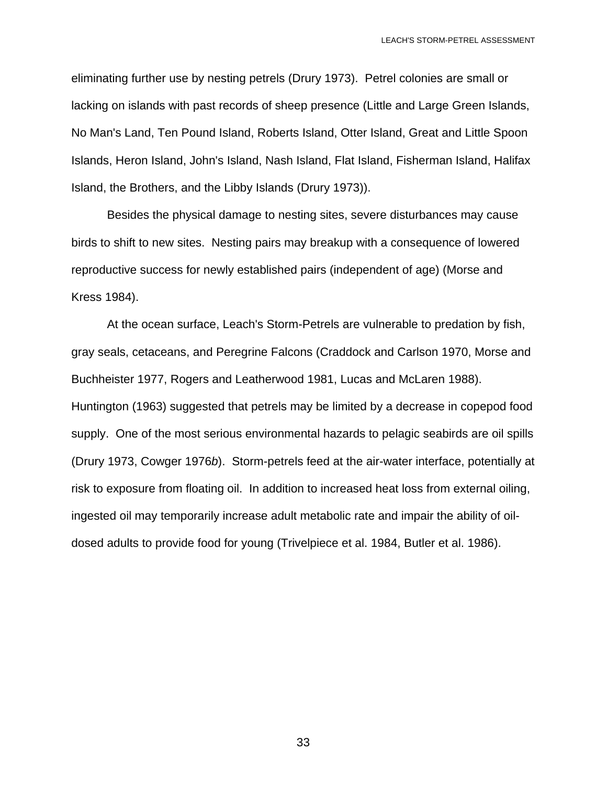eliminating further use by nesting petrels (Drury 1973). Petrel colonies are small or lacking on islands with past records of sheep presence (Little and Large Green Islands, No Man's Land, Ten Pound Island, Roberts Island, Otter Island, Great and Little Spoon Islands, Heron Island, John's Island, Nash Island, Flat Island, Fisherman Island, Halifax Island, the Brothers, and the Libby Islands (Drury 1973)).

 Besides the physical damage to nesting sites, severe disturbances may cause birds to shift to new sites. Nesting pairs may breakup with a consequence of lowered reproductive success for newly established pairs (independent of age) (Morse and Kress 1984).

 At the ocean surface, Leach's Storm-Petrels are vulnerable to predation by fish, gray seals, cetaceans, and Peregrine Falcons (Craddock and Carlson 1970, Morse and Buchheister 1977, Rogers and Leatherwood 1981, Lucas and McLaren 1988). Huntington (1963) suggested that petrels may be limited by a decrease in copepod food supply. One of the most serious environmental hazards to pelagic seabirds are oil spills (Drury 1973, Cowger 1976*b*). Storm-petrels feed at the air-water interface, potentially at risk to exposure from floating oil. In addition to increased heat loss from external oiling, ingested oil may temporarily increase adult metabolic rate and impair the ability of oildosed adults to provide food for young (Trivelpiece et al. 1984, Butler et al. 1986).

<u>33 and 2012 and 2013</u>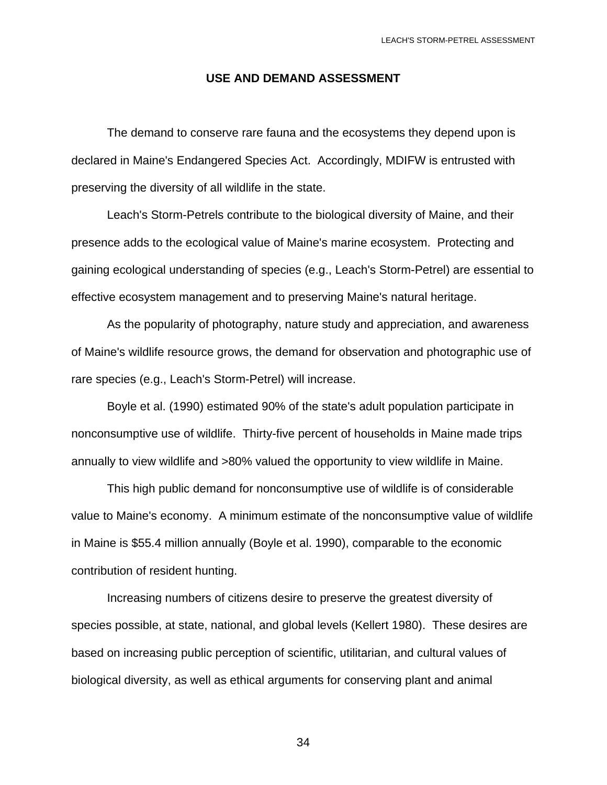#### **USE AND DEMAND ASSESSMENT**

 The demand to conserve rare fauna and the ecosystems they depend upon is declared in Maine's Endangered Species Act. Accordingly, MDIFW is entrusted with preserving the diversity of all wildlife in the state.

 Leach's Storm-Petrels contribute to the biological diversity of Maine, and their presence adds to the ecological value of Maine's marine ecosystem. Protecting and gaining ecological understanding of species (e.g., Leach's Storm-Petrel) are essential to effective ecosystem management and to preserving Maine's natural heritage.

 As the popularity of photography, nature study and appreciation, and awareness of Maine's wildlife resource grows, the demand for observation and photographic use of rare species (e.g., Leach's Storm-Petrel) will increase.

 Boyle et al. (1990) estimated 90% of the state's adult population participate in nonconsumptive use of wildlife. Thirty-five percent of households in Maine made trips annually to view wildlife and >80% valued the opportunity to view wildlife in Maine.

 This high public demand for nonconsumptive use of wildlife is of considerable value to Maine's economy. A minimum estimate of the nonconsumptive value of wildlife in Maine is \$55.4 million annually (Boyle et al. 1990), comparable to the economic contribution of resident hunting.

 Increasing numbers of citizens desire to preserve the greatest diversity of species possible, at state, national, and global levels (Kellert 1980). These desires are based on increasing public perception of scientific, utilitarian, and cultural values of biological diversity, as well as ethical arguments for conserving plant and animal

<u>34 and 34</u>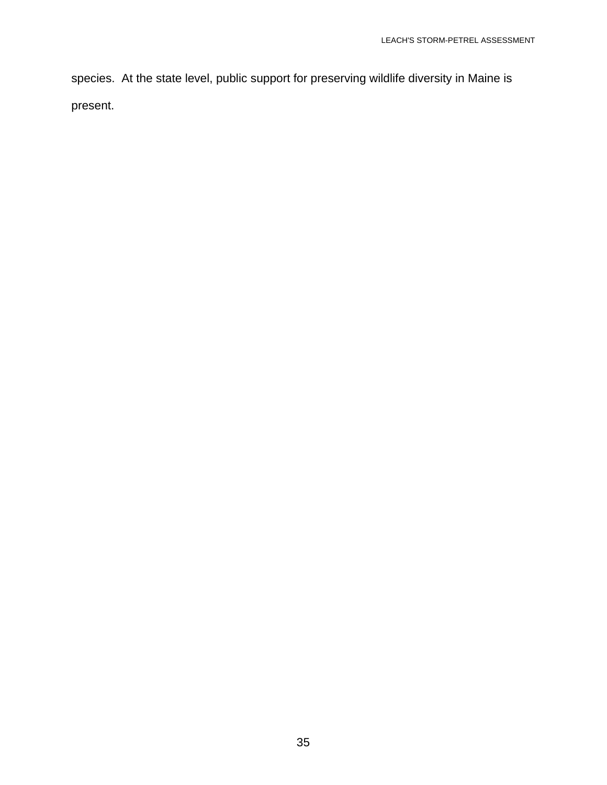species. At the state level, public support for preserving wildlife diversity in Maine is present.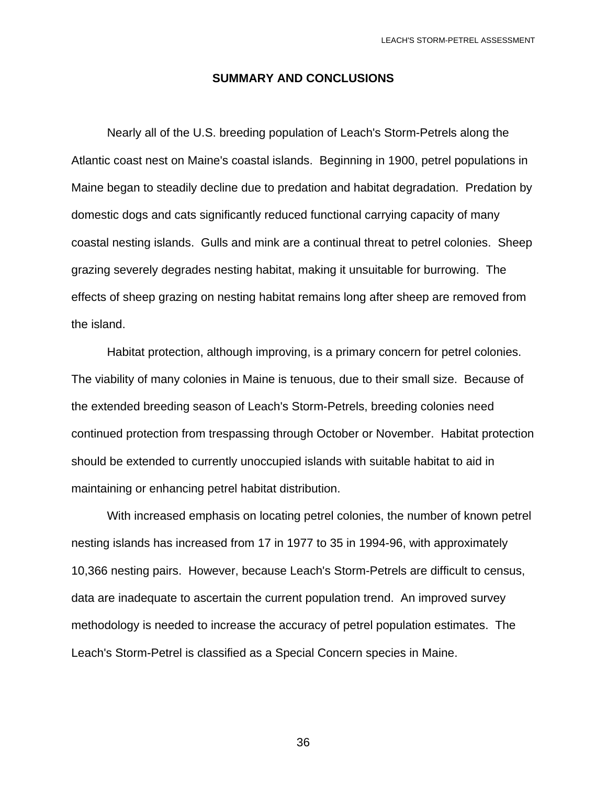#### **SUMMARY AND CONCLUSIONS**

 Nearly all of the U.S. breeding population of Leach's Storm-Petrels along the Atlantic coast nest on Maine's coastal islands. Beginning in 1900, petrel populations in Maine began to steadily decline due to predation and habitat degradation. Predation by domestic dogs and cats significantly reduced functional carrying capacity of many coastal nesting islands. Gulls and mink are a continual threat to petrel colonies. Sheep grazing severely degrades nesting habitat, making it unsuitable for burrowing. The effects of sheep grazing on nesting habitat remains long after sheep are removed from the island.

 Habitat protection, although improving, is a primary concern for petrel colonies. The viability of many colonies in Maine is tenuous, due to their small size. Because of the extended breeding season of Leach's Storm-Petrels, breeding colonies need continued protection from trespassing through October or November. Habitat protection should be extended to currently unoccupied islands with suitable habitat to aid in maintaining or enhancing petrel habitat distribution.

 With increased emphasis on locating petrel colonies, the number of known petrel nesting islands has increased from 17 in 1977 to 35 in 1994-96, with approximately 10,366 nesting pairs. However, because Leach's Storm-Petrels are difficult to census, data are inadequate to ascertain the current population trend. An improved survey methodology is needed to increase the accuracy of petrel population estimates. The Leach's Storm-Petrel is classified as a Special Concern species in Maine.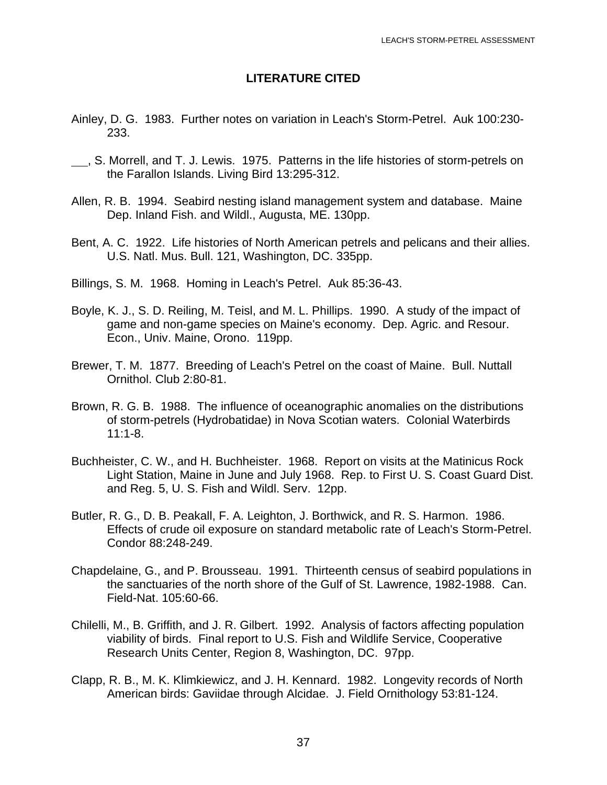## **LITERATURE CITED**

- Ainley, D. G. 1983. Further notes on variation in Leach's Storm-Petrel. Auk 100:230- 233.
- , S. Morrell, and T. J. Lewis. 1975. Patterns in the life histories of storm-petrels on the Farallon Islands. Living Bird 13:295-312.
- Allen, R. B. 1994. Seabird nesting island management system and database. Maine Dep. Inland Fish. and Wildl., Augusta, ME. 130pp.
- Bent, A. C. 1922. Life histories of North American petrels and pelicans and their allies. U.S. Natl. Mus. Bull. 121, Washington, DC. 335pp.
- Billings, S. M. 1968. Homing in Leach's Petrel. Auk 85:36-43.
- Boyle, K. J., S. D. Reiling, M. Teisl, and M. L. Phillips. 1990. A study of the impact of game and non-game species on Maine's economy. Dep. Agric. and Resour. Econ., Univ. Maine, Orono. 119pp.
- Brewer, T. M. 1877. Breeding of Leach's Petrel on the coast of Maine. Bull. Nuttall Ornithol. Club 2:80-81.
- Brown, R. G. B. 1988. The influence of oceanographic anomalies on the distributions of storm-petrels (Hydrobatidae) in Nova Scotian waters. Colonial Waterbirds 11:1-8.
- Buchheister, C. W., and H. Buchheister. 1968. Report on visits at the Matinicus Rock Light Station, Maine in June and July 1968. Rep. to First U. S. Coast Guard Dist. and Reg. 5, U. S. Fish and Wildl. Serv. 12pp.
- Butler, R. G., D. B. Peakall, F. A. Leighton, J. Borthwick, and R. S. Harmon. 1986. Effects of crude oil exposure on standard metabolic rate of Leach's Storm-Petrel. Condor 88:248-249.
- Chapdelaine, G., and P. Brousseau. 1991. Thirteenth census of seabird populations in the sanctuaries of the north shore of the Gulf of St. Lawrence, 1982-1988. Can. Field-Nat. 105:60-66.
- Chilelli, M., B. Griffith, and J. R. Gilbert. 1992. Analysis of factors affecting population viability of birds. Final report to U.S. Fish and Wildlife Service, Cooperative Research Units Center, Region 8, Washington, DC. 97pp.
- Clapp, R. B., M. K. Klimkiewicz, and J. H. Kennard. 1982. Longevity records of North American birds: Gaviidae through Alcidae. J. Field Ornithology 53:81-124.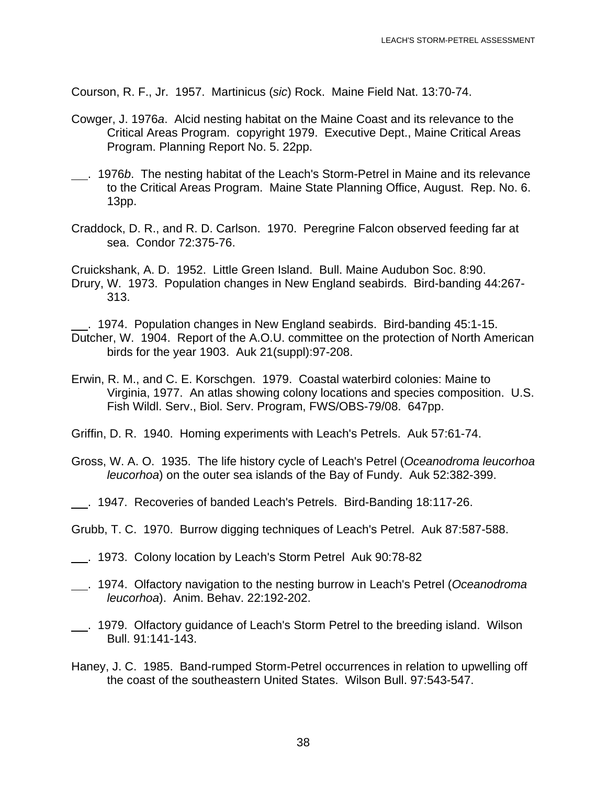Courson, R. F., Jr. 1957. Martinicus (*sic*) Rock. Maine Field Nat. 13:70-74.

- Cowger, J. 1976*a*. Alcid nesting habitat on the Maine Coast and its relevance to the Critical Areas Program. copyright 1979. Executive Dept., Maine Critical Areas Program. Planning Report No. 5. 22pp.
- . 1976*b*. The nesting habitat of the Leach's Storm-Petrel in Maine and its relevance to the Critical Areas Program. Maine State Planning Office, August. Rep. No. 6. 13pp.
- Craddock, D. R., and R. D. Carlson. 1970. Peregrine Falcon observed feeding far at sea. Condor 72:375-76.

Cruickshank, A. D. 1952. Little Green Island. Bull. Maine Audubon Soc. 8:90. Drury, W. 1973. Population changes in New England seabirds. Bird-banding 44:267- 313.

 . 1974. Population changes in New England seabirds. Bird-banding 45:1-15. Dutcher, W. 1904. Report of the A.O.U. committee on the protection of North American birds for the year 1903. Auk 21(suppl):97-208.

- Erwin, R. M., and C. E. Korschgen. 1979. Coastal waterbird colonies: Maine to Virginia, 1977. An atlas showing colony locations and species composition. U.S. Fish Wildl. Serv., Biol. Serv. Program, FWS/OBS-79/08. 647pp.
- Griffin, D. R. 1940. Homing experiments with Leach's Petrels. Auk 57:61-74.
- Gross, W. A. O. 1935. The life history cycle of Leach's Petrel (*Oceanodroma leucorhoa leucorhoa*) on the outer sea islands of the Bay of Fundy. Auk 52:382-399.
- . 1947. Recoveries of banded Leach's Petrels. Bird-Banding 18:117-26.
- Grubb, T. C. 1970. Burrow digging techniques of Leach's Petrel. Auk 87:587-588.
- . 1973. Colony location by Leach's Storm Petrel Auk 90:78-82
- . 1974. Olfactory navigation to the nesting burrow in Leach's Petrel (*Oceanodroma leucorhoa*). Anim. Behav. 22:192-202.
- . 1979. Olfactory guidance of Leach's Storm Petrel to the breeding island. Wilson Bull. 91:141-143.
- Haney, J. C. 1985. Band-rumped Storm-Petrel occurrences in relation to upwelling off the coast of the southeastern United States. Wilson Bull. 97:543-547.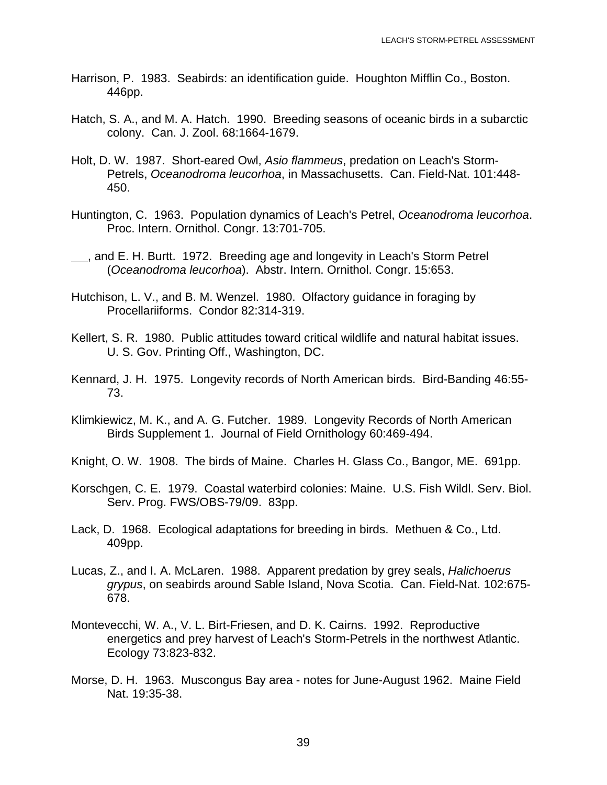- Harrison, P. 1983. Seabirds: an identification guide. Houghton Mifflin Co., Boston. 446pp.
- Hatch, S. A., and M. A. Hatch. 1990. Breeding seasons of oceanic birds in a subarctic colony. Can. J. Zool. 68:1664-1679.
- Holt, D. W. 1987. Short-eared Owl, *Asio flammeus*, predation on Leach's Storm-Petrels, *Oceanodroma leucorhoa*, in Massachusetts. Can. Field-Nat. 101:448- 450.
- Huntington, C. 1963. Population dynamics of Leach's Petrel, *Oceanodroma leucorhoa*. Proc. Intern. Ornithol. Congr. 13:701-705.
- <sub>1,</sub> and E. H. Burtt. 1972. Breeding age and longevity in Leach's Storm Petrel (*Oceanodroma leucorhoa*). Abstr. Intern. Ornithol. Congr. 15:653.
- Hutchison, L. V., and B. M. Wenzel. 1980. Olfactory guidance in foraging by Procellariiforms. Condor 82:314-319.
- Kellert, S. R. 1980. Public attitudes toward critical wildlife and natural habitat issues. U. S. Gov. Printing Off., Washington, DC.
- Kennard, J. H. 1975. Longevity records of North American birds. Bird-Banding 46:55- 73.
- Klimkiewicz, M. K., and A. G. Futcher. 1989. Longevity Records of North American Birds Supplement 1. Journal of Field Ornithology 60:469-494.
- Knight, O. W. 1908. The birds of Maine. Charles H. Glass Co., Bangor, ME. 691pp.
- Korschgen, C. E. 1979. Coastal waterbird colonies: Maine. U.S. Fish Wildl. Serv. Biol. Serv. Prog. FWS/OBS-79/09. 83pp.
- Lack, D. 1968. Ecological adaptations for breeding in birds. Methuen & Co., Ltd. 409pp.
- Lucas, Z., and I. A. McLaren. 1988. Apparent predation by grey seals, *Halichoerus grypus*, on seabirds around Sable Island, Nova Scotia. Can. Field-Nat. 102:675- 678.
- Montevecchi, W. A., V. L. Birt-Friesen, and D. K. Cairns. 1992. Reproductive energetics and prey harvest of Leach's Storm-Petrels in the northwest Atlantic. Ecology 73:823-832.
- Morse, D. H. 1963. Muscongus Bay area notes for June-August 1962. Maine Field Nat. 19:35-38.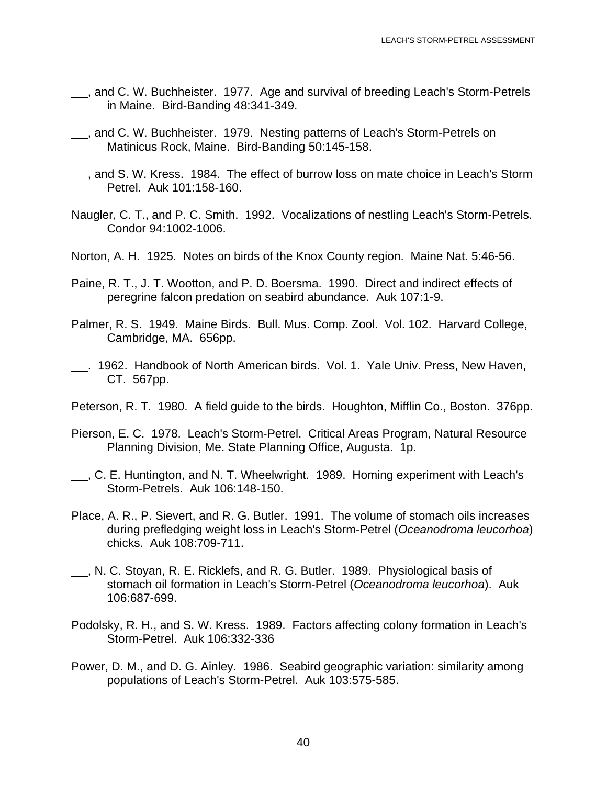- <sub>1,</sub> and C. W. Buchheister. 1977. Age and survival of breeding Leach's Storm-Petrels in Maine. Bird-Banding 48:341-349.
- <sub>\_\_</sub>, and C. W. Buchheister. 1979. Nesting patterns of Leach's Storm-Petrels on Matinicus Rock, Maine. Bird-Banding 50:145-158.
- <sub>1</sub>, and S. W. Kress. 1984. The effect of burrow loss on mate choice in Leach's Storm Petrel. Auk 101:158-160.
- Naugler, C. T., and P. C. Smith. 1992. Vocalizations of nestling Leach's Storm-Petrels. Condor 94:1002-1006.
- Norton, A. H. 1925. Notes on birds of the Knox County region. Maine Nat. 5:46-56.
- Paine, R. T., J. T. Wootton, and P. D. Boersma. 1990. Direct and indirect effects of peregrine falcon predation on seabird abundance. Auk 107:1-9.
- Palmer, R. S. 1949. Maine Birds. Bull. Mus. Comp. Zool. Vol. 102. Harvard College, Cambridge, MA. 656pp.
- . 1962. Handbook of North American birds. Vol. 1. Yale Univ. Press, New Haven, CT. 567pp.
- Peterson, R. T. 1980. A field guide to the birds. Houghton, Mifflin Co., Boston. 376pp.
- Pierson, E. C. 1978. Leach's Storm-Petrel. Critical Areas Program, Natural Resource Planning Division, Me. State Planning Office, Augusta. 1p.
- L., C. E. Huntington, and N. T. Wheelwright. 1989. Homing experiment with Leach's Storm-Petrels. Auk 106:148-150.
- Place, A. R., P. Sievert, and R. G. Butler. 1991. The volume of stomach oils increases during prefledging weight loss in Leach's Storm-Petrel (*Oceanodroma leucorhoa*) chicks. Auk 108:709-711.
- , N. C. Stoyan, R. E. Ricklefs, and R. G. Butler. 1989. Physiological basis of stomach oil formation in Leach's Storm-Petrel (*Oceanodroma leucorhoa*). Auk 106:687-699.
- Podolsky, R. H., and S. W. Kress. 1989. Factors affecting colony formation in Leach's Storm-Petrel. Auk 106:332-336
- Power, D. M., and D. G. Ainley. 1986. Seabird geographic variation: similarity among populations of Leach's Storm-Petrel. Auk 103:575-585.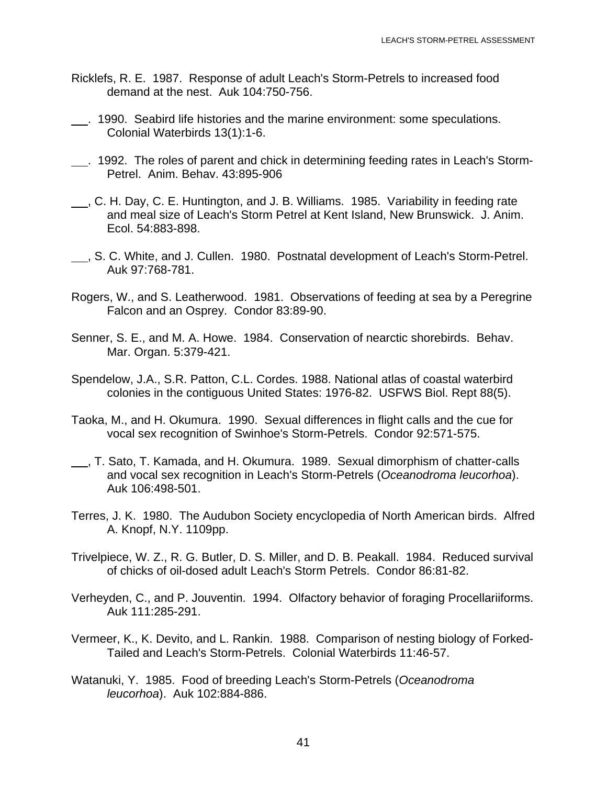- Ricklefs, R. E. 1987. Response of adult Leach's Storm-Petrels to increased food demand at the nest. Auk 104:750-756.
- . 1990. Seabird life histories and the marine environment: some speculations. Colonial Waterbirds 13(1):1-6.
- . 1992. The roles of parent and chick in determining feeding rates in Leach's Storm-Petrel. Anim. Behav. 43:895-906
- , C. H. Day, C. E. Huntington, and J. B. Williams. 1985. Variability in feeding rate and meal size of Leach's Storm Petrel at Kent Island, New Brunswick. J. Anim. Ecol. 54:883-898.
- , S. C. White, and J. Cullen. 1980. Postnatal development of Leach's Storm-Petrel. Auk 97:768-781.
- Rogers, W., and S. Leatherwood. 1981. Observations of feeding at sea by a Peregrine Falcon and an Osprey. Condor 83:89-90.
- Senner, S. E., and M. A. Howe. 1984. Conservation of nearctic shorebirds. Behav. Mar. Organ. 5:379-421.
- Spendelow, J.A., S.R. Patton, C.L. Cordes. 1988. National atlas of coastal waterbird colonies in the contiguous United States: 1976-82. USFWS Biol. Rept 88(5).
- Taoka, M., and H. Okumura. 1990. Sexual differences in flight calls and the cue for vocal sex recognition of Swinhoe's Storm-Petrels. Condor 92:571-575.
- , T. Sato, T. Kamada, and H. Okumura. 1989. Sexual dimorphism of chatter-calls and vocal sex recognition in Leach's Storm-Petrels (*Oceanodroma leucorhoa*). Auk 106:498-501.
- Terres, J. K. 1980. The Audubon Society encyclopedia of North American birds. Alfred A. Knopf, N.Y. 1109pp.
- Trivelpiece, W. Z., R. G. Butler, D. S. Miller, and D. B. Peakall. 1984. Reduced survival of chicks of oil-dosed adult Leach's Storm Petrels. Condor 86:81-82.
- Verheyden, C., and P. Jouventin. 1994. Olfactory behavior of foraging Procellariiforms. Auk 111:285-291.
- Vermeer, K., K. Devito, and L. Rankin. 1988. Comparison of nesting biology of Forked-Tailed and Leach's Storm-Petrels. Colonial Waterbirds 11:46-57.
- Watanuki, Y. 1985. Food of breeding Leach's Storm-Petrels (*Oceanodroma leucorhoa*). Auk 102:884-886.